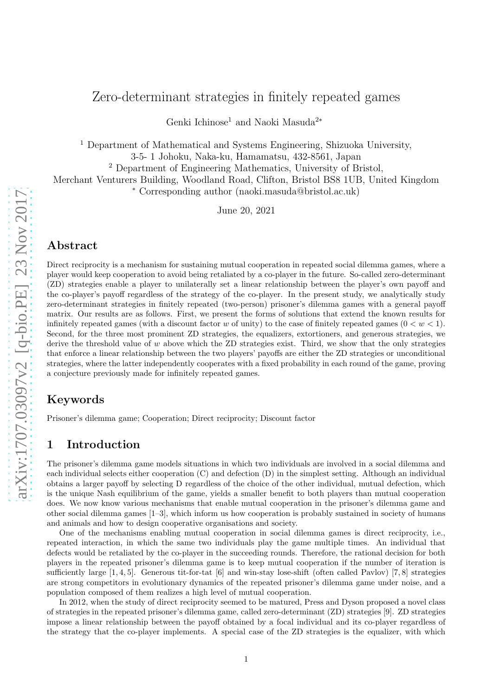# Zero-determinant strategies in finitely repeated games

Genki Ichinose<sup>1</sup> and Naoki Masuda<sup>2</sup><sup>∗</sup>

<sup>1</sup> Department of Mathematical and Systems Engineering, Shizuoka University, 3-5- 1 Johoku, Naka-ku, Hamamatsu, 432-8561, Japan

<sup>2</sup> Department of Engineering Mathematics, University of Bristol,

Merchant Venturers Building, Woodland Road, Clifton, Bristol BS8 1UB, United Kingdom

<sup>∗</sup> Corresponding author (naoki.masuda@bristol.ac.uk)

June 20, 2021

## Abstract

Direct reciprocity is a mechanism for sustaining mutual cooperation in repeated social dilemma games, where a player would keep cooperation to avoid being retaliated by a co-player in the future. So-called zero-determinant (ZD) strategies enable a player to unilaterally set a linear relationship between the player's own payoff and the co-player's payoff regardless of the strategy of the co-player. In the present study, we analytically study zero-determinant strategies in finitely repeated (two-person) prisoner's dilemma games with a general payoff matrix. Our results are as follows. First, we present the forms of solutions that extend the known results for infinitely repeated games (with a discount factor w of unity) to the case of finitely repeated games  $(0 < w < 1)$ . Second, for the three most prominent ZD strategies, the equalizers, extortioners, and generous strategies, we derive the threshold value of  $w$  above which the ZD strategies exist. Third, we show that the only strategies that enforce a linear relationship between the two players' payoffs are either the ZD strategies or unconditional strategies, where the latter independently cooperates with a fixed probability in each round of the game, proving a conjecture previously made for infinitely repeated games.

## Keywords

Prisoner's dilemma game; Cooperation; Direct reciprocity; Discount factor

## 1 Introduction

The prisoner's dilemma game models situations in which two individuals are involved in a social dilemma and each individual selects either cooperation (C) and defection (D) in the simplest setting. Although an individual obtains a larger payoff by selecting D regardless of the choice of the other individual, mutual defection, which is the unique Nash equilibrium of the game, yields a smaller benefit to both players than mutual cooperation does. We now know various mechanisms that enable mutual cooperation in the prisoner's dilemma game and other social dilemma games [1–3], which inform us how cooperation is probably sustained in society of humans and animals and how to design cooperative organisations and society.

One of the mechanisms enabling mutual cooperation in social dilemma games is direct reciprocity, i.e., repeated interaction, in which the same two individuals play the game multiple times. An individual that defects would be retaliated by the co-player in the succeeding rounds. Therefore, the rational decision for both players in the repeated prisoner's dilemma game is to keep mutual cooperation if the number of iteration is sufficiently large  $[1, 4, 5]$ . Generous tit-for-tat  $[6]$  and win-stay lose-shift (often called Pavlov)  $[7, 8]$  strategies are strong competitors in evolutionary dynamics of the repeated prisoner's dilemma game under noise, and a population composed of them realizes a high level of mutual cooperation.

In 2012, when the study of direct reciprocity seemed to be matured, Press and Dyson proposed a novel class of strategies in the repeated prisoner's dilemma game, called zero-determinant (ZD) strategies [9]. ZD strategies impose a linear relationship between the payoff obtained by a focal individual and its co-player regardless of the strategy that the co-player implements. A special case of the ZD strategies is the equalizer, with which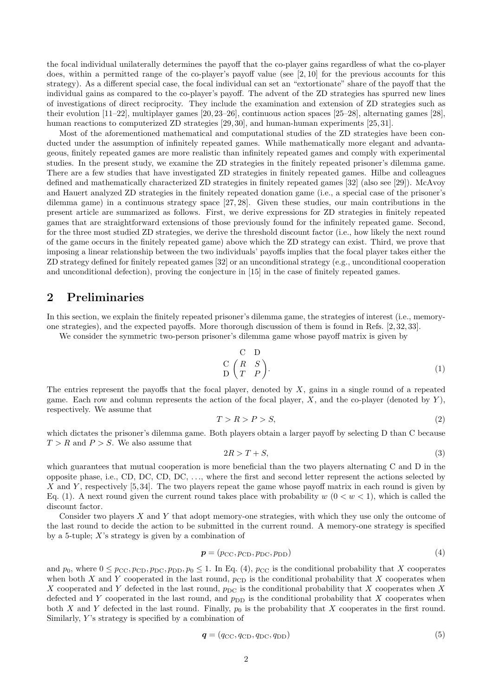the focal individual unilaterally determines the payoff that the co-player gains regardless of what the co-player does, within a permitted range of the co-player's payoff value (see [2, 10] for the previous accounts for this strategy). As a different special case, the focal individual can set an "extortionate" share of the payoff that the individual gains as compared to the co-player's payoff. The advent of the ZD strategies has spurred new lines of investigations of direct reciprocity. They include the examination and extension of ZD strategies such as their evolution [11–22], multiplayer games [20, 23–26], continuous action spaces [25–28], alternating games [28], human reactions to computerized ZD strategies [29, 30], and human-human experiments [25, 31].

Most of the aforementioned mathematical and computational studies of the ZD strategies have been conducted under the assumption of infinitely repeated games. While mathematically more elegant and advantageous, finitely repeated games are more realistic than infinitely repeated games and comply with experimental studies. In the present study, we examine the ZD strategies in the finitely repeated prisoner's dilemma game. There are a few studies that have investigated ZD strategies in finitely repeated games. Hilbe and colleagues defined and mathematically characterized ZD strategies in finitely repeated games [32] (also see [29]). McAvoy and Hauert analyzed ZD strategies in the finitely repeated donation game (i.e., a special case of the prisoner's dilemma game) in a continuous strategy space [27, 28]. Given these studies, our main contributions in the present article are summarized as follows. First, we derive expressions for ZD strategies in finitely repeated games that are straightforward extensions of those previously found for the infinitely repeated game. Second, for the three most studied ZD strategies, we derive the threshold discount factor (i.e., how likely the next round of the game occurs in the finitely repeated game) above which the ZD strategy can exist. Third, we prove that imposing a linear relationship between the two individuals' payoffs implies that the focal player takes either the ZD strategy defined for finitely repeated games [32] or an unconditional strategy (e.g., unconditional cooperation and unconditional defection), proving the conjecture in [15] in the case of finitely repeated games.

## 2 Preliminaries

In this section, we explain the finitely repeated prisoner's dilemma game, the strategies of interest (i.e., memoryone strategies), and the expected payoffs. More thorough discussion of them is found in Refs. [2, 32, 33].

We consider the symmetric two-person prisoner's dilemma game whose payoff matrix is given by

$$
\begin{array}{c}\nC & D \\
C & F \\
D & T\n\end{array}
$$
\n(1)

The entries represent the payoffs that the focal player, denoted by X, gains in a single round of a repeated game. Each row and column represents the action of the focal player,  $X$ , and the co-player (denoted by  $Y$ ), respectively. We assume that

$$
T > R > P > S,\tag{2}
$$

which dictates the prisoner's dilemma game. Both players obtain a larger payoff by selecting D than C because  $T > R$  and  $P > S$ . We also assume that

$$
2R > T + S,\tag{3}
$$

which guarantees that mutual cooperation is more beneficial than the two players alternating C and D in the opposite phase, i.e., CD, DC, CD, DC,  $\dots$ , where the first and second letter represent the actions selected by X and Y, respectively  $[5, 34]$ . The two players repeat the game whose payoff matrix in each round is given by Eq. (1). A next round given the current round takes place with probability  $w (0 \lt w \lt 1)$ , which is called the discount factor.

Consider two players  $X$  and  $Y$  that adopt memory-one strategies, with which they use only the outcome of the last round to decide the action to be submitted in the current round. A memory-one strategy is specified by a 5-tuple;  $X$ 's strategy is given by a combination of

$$
\boldsymbol{p} = (p_{\rm CC}, p_{\rm CD}, p_{\rm DC}, p_{\rm DD})\tag{4}
$$

and  $p_0$ , where  $0 \leq p_{\text{CC}}, p_{\text{CD}}, p_{\text{DC}}, p_{\text{DD}}, p_0 \leq 1$ . In Eq. (4),  $p_{\text{CC}}$  is the conditional probability that X cooperates when both X and Y cooperated in the last round,  $p_{CD}$  is the conditional probability that X cooperates when X cooperated and Y defected in the last round,  $p_{\text{DC}}$  is the conditional probability that X cooperates when X defected and Y cooperated in the last round, and  $p_{\text{DD}}$  is the conditional probability that X cooperates when both X and Y defected in the last round. Finally,  $p_0$  is the probability that X cooperates in the first round. Similarly,  $Y$ 's strategy is specified by a combination of

$$
\boldsymbol{q} = (q_{\rm CC}, q_{\rm CD}, q_{\rm DC}, q_{\rm DD})\tag{5}
$$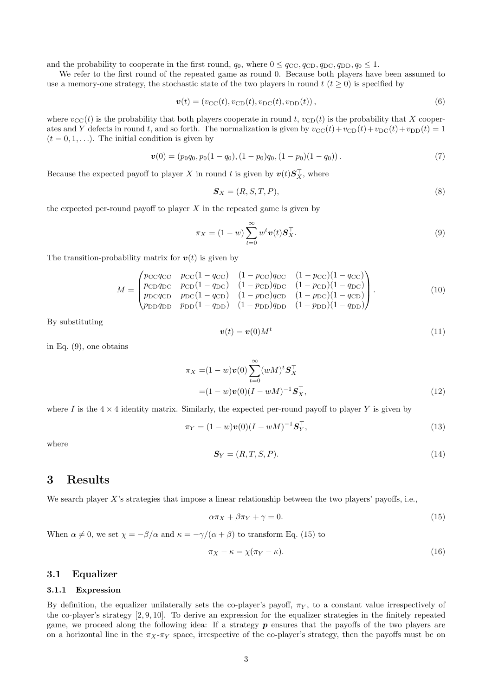and the probability to cooperate in the first round,  $q_0$ , where  $0 \leq q_{\text{CC}}$ ,  $q_{\text{CD}}$ ,  $q_{\text{DC}}$ ,  $q_{\text{DD}}$ ,  $q_0 \leq 1$ .

We refer to the first round of the repeated game as round 0. Because both players have been assumed to use a memory-one strategy, the stochastic state of the two players in round  $t (t \geq 0)$  is specified by

$$
\mathbf{v}(t) = (v_{\rm CC}(t), v_{\rm CD}(t), v_{\rm DC}(t), v_{\rm DD}(t)),
$$
\n(6)

where  $v_{\text{CC}}(t)$  is the probability that both players cooperate in round t,  $v_{\text{CD}}(t)$  is the probability that X cooperates and Y defects in round t, and so forth. The normalization is given by  $v_{\text{CC}}(t)+v_{\text{CD}}(t)+v_{\text{DC}}(t)+v_{\text{DD}}(t) = 1$  $(t = 0, 1, \ldots)$ . The initial condition is given by

$$
\boldsymbol{v}(0) = (p_0 q_0, p_0 (1 - q_0), (1 - p_0) q_0, (1 - p_0) (1 - q_0)). \tag{7}
$$

Because the expected payoff to player X in round t is given by  $\mathbf{v}(t) \mathbf{S}_X^{\top}$ , where

$$
\mathbf{S}_X = (R, S, T, P),\tag{8}
$$

the expected per-round payoff to player  $X$  in the repeated game is given by

$$
\pi_X = (1 - w) \sum_{t=0}^{\infty} w^t \mathbf{v}(t) \mathbf{S}_X^\top.
$$
\n(9)

The transition-probability matrix for  $v(t)$  is given by

$$
M = \begin{pmatrix} pccqc & pcc(1 - qcc) & (1 - pc)qcc & (1 - pcc)(1 - qcc) \\ pcppcqpc & pcp(1 - qpc) & (1 - pcp)qpc & (1 - pcp)(1 - qpc) \\ pcqcppcqpc & pcp(1 - qcc) & (1 - pc)qcc & (1 - pc)(1 - qcc) \\ ppppcqpc & ppp(1 - qpc) & (1 - ppp)qpc & (1 - ppp)(1 - qpc) \end{pmatrix}.
$$
 (10)

By substituting

$$
\boldsymbol{v}(t) = \boldsymbol{v}(0)M^t \tag{11}
$$

in Eq. (9), one obtains

$$
\pi_X = (1 - w)\boldsymbol{v}(0) \sum_{t=0}^{\infty} (wM)^t \mathbf{S}_X^\top
$$
  
=  $(1 - w)\boldsymbol{v}(0)(I - wM)^{-1}\mathbf{S}_X^\top,$  (12)

where I is the  $4 \times 4$  identity matrix. Similarly, the expected per-round payoff to player Y is given by

$$
\pi_Y = (1 - w)v(0)(I - wM)^{-1} \mathbf{S}_Y^\top,
$$
\n(13)

where

$$
\mathbf{S}_Y = (R, T, S, P). \tag{14}
$$

## 3 Results

We search player X's strategies that impose a linear relationship between the two players' payoffs, i.e.,

$$
\alpha \pi_X + \beta \pi_Y + \gamma = 0. \tag{15}
$$

When  $\alpha \neq 0$ , we set  $\chi = -\beta/\alpha$  and  $\kappa = -\gamma/(\alpha + \beta)$  to transform Eq. (15) to

$$
\pi_X - \kappa = \chi(\pi_Y - \kappa). \tag{16}
$$

## 3.1 Equalizer

#### 3.1.1 Expression

By definition, the equalizer unilaterally sets the co-player's payoff,  $\pi_Y$ , to a constant value irrespectively of the co-player's strategy [2, 9, 10]. To derive an expression for the equalizer strategies in the finitely repeated game, we proceed along the following idea: If a strategy  $p$  ensures that the payoffs of the two players are on a horizontal line in the  $\pi_X$ - $\pi_Y$  space, irrespective of the co-player's strategy, then the payoffs must be on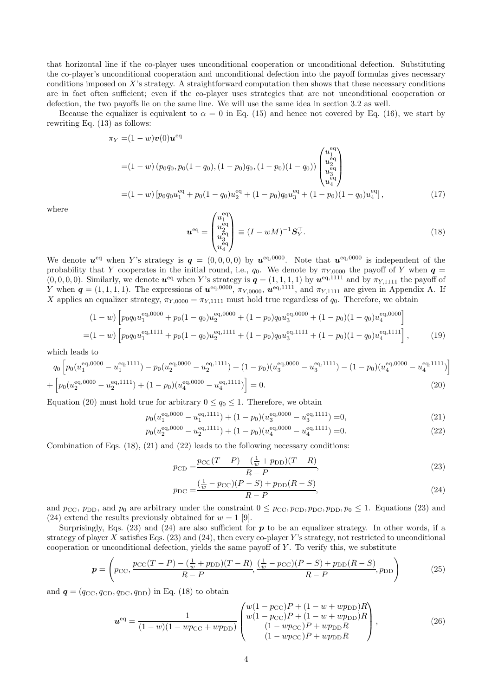that horizontal line if the co-player uses unconditional cooperation or unconditional defection. Substituting the co-player's unconditional cooperation and unconditional defection into the payoff formulas gives necessary conditions imposed on X's strategy. A straightforward computation then shows that these necessary conditions are in fact often sufficient; even if the co-player uses strategies that are not unconditional cooperation or defection, the two payoffs lie on the same line. We will use the same idea in section 3.2 as well.

Because the equalizer is equivalent to  $\alpha = 0$  in Eq. (15) and hence not covered by Eq. (16), we start by rewriting Eq. (13) as follows:

$$
\pi_Y = (1 - w)v(0)\mathbf{u}^{\text{eq}}
$$
  
=  $(1 - w) (p_0 q_0, p_0 (1 - q_0), (1 - p_0) q_0, (1 - p_0) (1 - q_0)) \begin{pmatrix} u_1^{\text{eq}} \\ u_2^{\text{eq}} \\ u_3^{\text{eq}} \\ u_4^{\text{eq}} \end{pmatrix}$   
=  $(1 - w) [p_0 q_0 u_1^{\text{eq}} + p_0 (1 - q_0) u_2^{\text{eq}} + (1 - p_0) q_0 u_3^{\text{eq}} + (1 - p_0) (1 - q_0) u_4^{\text{eq}}],$  (17)

where

$$
\boldsymbol{u}^{\text{eq}} = \begin{pmatrix} u_1^{\text{eq}} \\ u_2^{\text{eq}} \\ u_3^{\text{eq}} \\ u_4^{\text{eq}} \end{pmatrix} \equiv (I - wM)^{-1} \boldsymbol{S}_Y^{\top}.
$$
 (18)

We denote  $u^{eq}$  when Y's strategy is  $q = (0,0,0,0)$  by  $u^{eq,0000}$ . Note that  $u^{eq,0000}$  is independent of the probability that Y cooperates in the initial round, i.e.,  $q_0$ . We denote by  $\pi_{Y,0000}$  the payoff of Y when  $q =$  $(0,0,0,0)$ . Similarly, we denote  $u^{\text{eq}}$  when Y's strategy is  $q=(1,1,1,1)$  by  $u^{\text{eq},1111}$  and by  $\pi_{Y,1111}$  the payoff of Y when  $q=(1,1,1,1)$ . The expressions of  $u^{\text{eq},0000}$ ,  $\pi_{Y,0000}$ ,  $u^{\text{eq},1111}$ , and  $\pi_{Y,1111}$  are given in Appendix A. If X applies an equalizer strategy,  $\pi_{Y,0000} = \pi_{Y,1111}$  must hold true regardless of  $q_0$ . Therefore, we obtain

$$
(1-w)\left[p_0q_0u_1^{eq,0000} + p_0(1-q_0)u_2^{eq,0000} + (1-p_0)q_0u_3^{eq,0000} + (1-p_0)(1-q_0)u_4^{eq,0000}\right]
$$
  
=
$$
(1-w)\left[p_0q_0u_1^{eq,1111} + p_0(1-q_0)u_2^{eq,1111} + (1-p_0)q_0u_3^{eq,1111} + (1-p_0)(1-q_0)u_4^{eq,1111}\right],
$$
 (19)

which leads to

$$
q_0 \left[ p_0(u_1^{eq,0000} - u_1^{eq,1111}) - p_0(u_2^{eq,0000} - u_2^{eq,1111}) + (1 - p_0)(u_3^{eq,0000} - u_3^{eq,1111}) - (1 - p_0)(u_4^{eq,0000} - u_4^{eq,1111}) \right]
$$

$$
+\left[p_0(u_2^{eq,0000} - u_2^{eq,1111}) + (1 - p_0)(u_4^{eq,0000} - u_4^{eq,1111})\right] = 0.
$$
\n(20)

Equation (20) must hold true for arbitrary  $0 \le q_0 \le 1$ . Therefore, we obtain

$$
p_0(u_1^{eq,0000} - u_1^{eq,1111}) + (1 - p_0)(u_3^{eq,0000} - u_3^{eq,1111}) = 0,
$$
\n(21)

$$
p_0(u_2^{eq,0000} - u_2^{eq,1111}) + (1 - p_0)(u_4^{eq,0000} - u_4^{eq,1111}) = 0.
$$
 (22)

Combination of Eqs. (18), (21) and (22) leads to the following necessary conditions:

$$
p_{\rm CD} = \frac{p_{\rm CC}(T - P) - (\frac{1}{w} + p_{\rm DD})(T - R)}{R - P},\tag{23}
$$

$$
p_{\rm DC} = \frac{(\frac{1}{w} - p_{\rm CC})(P - S) + p_{\rm DD}(R - S)}{R - P},\tag{24}
$$

and  $p_{\text{CC}}$ ,  $p_{\text{DD}}$ , and  $p_0$  are arbitrary under the constraint  $0 \leq p_{\text{CC}}$ ,  $p_{\text{CD}}$ ,  $p_{\text{DD}}$ ,  $p_0 \leq 1$ . Equations (23) and (24) extend the results previously obtained for  $w = 1$  [9].

Surprisingly, Eqs. (23) and (24) are also sufficient for  $p$  to be an equalizer strategy. In other words, if a strategy of player X satisfies Eqs.  $(23)$  and  $(24)$ , then every co-player Y's strategy, not restricted to unconditional cooperation or unconditional defection, yields the same payoff of  $Y$ . To verify this, we substitute

$$
\boldsymbol{p} = \left(p_{\rm CC}, \frac{p_{\rm CC}(T - P) - (\frac{1}{w} + p_{\rm DD})(T - R)}{R - P}, \frac{(\frac{1}{w} - p_{\rm CC})(P - S) + p_{\rm DD}(R - S)}{R - P}, p_{\rm DD}\right) \tag{25}
$$

and  $q = (q_{\rm CC}, q_{\rm CD}, q_{\rm DC}, q_{\rm DD})$  in Eq. (18) to obtain

$$
\boldsymbol{u}^{\text{eq}} = \frac{1}{(1-w)(1 - wp_{\text{CC}} + wp_{\text{DD}})} \begin{pmatrix} w(1 - p_{\text{CC}})P + (1 - w + w p_{\text{DD}})R \\ w(1 - p_{\text{CC}})P + (1 - w + w p_{\text{DD}})R \\ (1 - w p_{\text{CC}})P + w p_{\text{DD}}R \\ (1 - w p_{\text{CC}})P + w p_{\text{DD}}R \end{pmatrix},
$$
(26)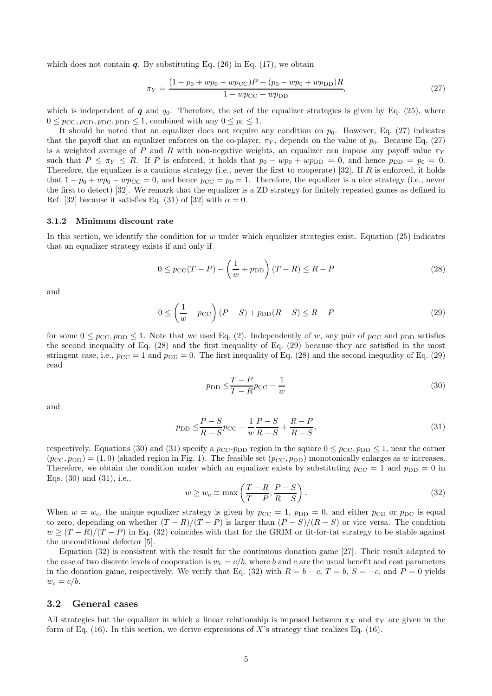which does not contain  $q$ . By substituting Eq. (26) in Eq. (17), we obtain

$$
\pi_Y = \frac{(1 - p_0 + wp_0 - wp_{\rm CC})P + (p_0 - wp_0 + wp_{\rm DD})R}{1 - wp_{\rm CC} + wp_{\rm DD}},\tag{27}
$$

which is independent of q and  $q_0$ . Therefore, the set of the equalizer strategies is given by Eq. (25), where  $0 \leq p_{\text{CC}}, p_{\text{CD}}, p_{\text{DC}}, p_{\text{DD}} \leq 1$ , combined with any  $0 \leq p_0 \leq 1$ .

It should be noted that an equalizer does not require any condition on  $p_0$ . However, Eq. (27) indicates that the payoff that an equalizer enforces on the co-player,  $\pi_Y$ , depends on the value of  $p_0$ . Because Eq. (27) is a weighted average of P and R with non-negative weights, an equalizer can impose any payoff value  $\pi_Y$ such that  $P \leq \pi_Y \leq R$ . If P is enforced, it holds that  $p_0 - wp_0 + wp_{DD} = 0$ , and hence  $p_{DD} = p_0 = 0$ . Therefore, the equalizer is a cautious strategy (i.e., never the first to cooperate) [32]. If  $R$  is enforced, it holds that  $1 - p_0 + wp_0 - wp_{CC} = 0$ , and hence  $p_{CC} = p_0 = 1$ . Therefore, the equalizer is a nice strategy (i.e., never the first to detect) [32]. We remark that the equalizer is a ZD strategy for finitely repeated games as defined in Ref. [32] because it satisfies Eq. (31) of [32] with  $\alpha = 0$ .

#### 3.1.2 Minimum discount rate

In this section, we identify the condition for  $w$  under which equalizer strategies exist. Equation (25) indicates that an equalizer strategy exists if and only if

$$
0 \le p_{\text{CC}}(T - P) - \left(\frac{1}{w} + p_{\text{DD}}\right)(T - R) \le R - P\tag{28}
$$

and

$$
0 \le \left(\frac{1}{w} - p_{\text{CC}}\right)(P - S) + p_{\text{DD}}(R - S) \le R - P\tag{29}
$$

for some  $0 \le p_{\text{CC}}$ ,  $p_{\text{DD}} \le 1$ . Note that we used Eq. (2). Independently of w, any pair of  $p_{\text{CC}}$  and  $p_{\text{DD}}$  satisfies the second inequality of Eq. (28) and the first inequality of Eq. (29) because they are satisfied in the most stringent case, i.e.,  $p_{CC} = 1$  and  $p_{DD} = 0$ . The first inequality of Eq. (28) and the second inequality of Eq. (29) read

$$
p_{\rm DD} \le \frac{T - P}{T - R} p_{\rm CC} - \frac{1}{w} \tag{30}
$$

and

$$
p_{\rm DD} \le \frac{P - S}{R - S} p_{\rm CC} - \frac{1}{w} \frac{P - S}{R - S} + \frac{R - P}{R - S},\tag{31}
$$

respectively. Equations (30) and (31) specify a  $p_{CC-}p_{DD}$  region in the square  $0 \leq p_{CC}, p_{DD} \leq 1$ , near the corner  $(p_{\text{CC}}, p_{\text{DD}}) = (1, 0)$  (shaded region in Fig. 1). The feasible set  $(p_{\text{CC}}, p_{\text{DD}})$  monotonically enlarges as w increases. Therefore, we obtain the condition under which an equalizer exists by substituting  $p_{CC} = 1$  and  $p_{DD} = 0$  in Eqs. (30) and (31), i.e.,

$$
w \ge w_{\rm c} \equiv \max\left(\frac{T - R}{T - P}, \frac{P - S}{R - S}\right). \tag{32}
$$

When  $w = w_c$ , the unique equalizer strategy is given by  $p_{CC} = 1$ ,  $p_{DD} = 0$ , and either  $p_{CD}$  or  $p_{DC}$  is equal to zero, depending on whether  $(T - R)/(T - P)$  is larger than  $(P - S)/(R - S)$  or vice versa. The condition  $w \ge (T - R)/(T - P)$  in Eq. (32) coincides with that for the GRIM or tit-for-tat strategy to be stable against the unconditional defector [5].

Equation (32) is consistent with the result for the continuous donation game [27]. Their result adapted to the case of two discrete levels of cooperation is  $w_c = c/b$ , where b and c are the usual benefit and cost parameters in the donation game, respectively. We verify that Eq. (32) with  $R = b - c$ ,  $T = b$ ,  $S = -c$ , and  $P = 0$  yields  $w_c = c/b$ .

#### 3.2 General cases

All strategies but the equalizer in which a linear relationship is imposed between  $\pi_X$  and  $\pi_Y$  are given in the form of Eq.  $(16)$ . In this section, we derive expressions of X's strategy that realizes Eq.  $(16)$ .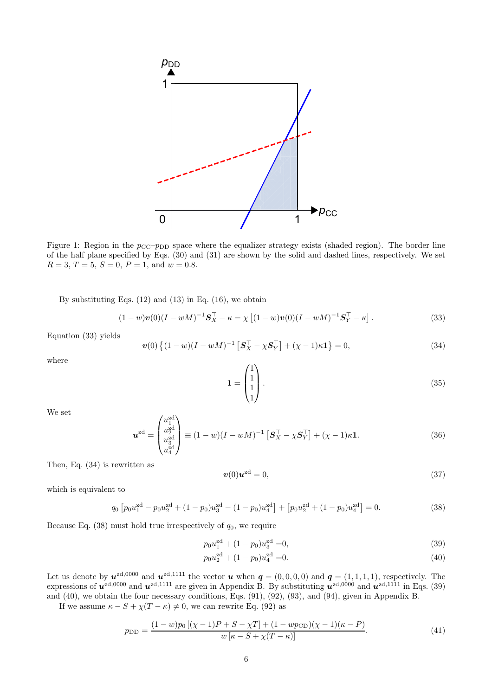

Figure 1: Region in the  $p_{\text{CC}-p_{\text{DD}}}$  space where the equalizer strategy exists (shaded region). The border line of the half plane specified by Eqs. (30) and (31) are shown by the solid and dashed lines, respectively. We set  $R = 3, T = 5, S = 0, P = 1, \text{ and } w = 0.8.$ 

By substituting Eqs.  $(12)$  and  $(13)$  in Eq.  $(16)$ , we obtain

zd

$$
(1-w)\mathbf{v}(0)(I-wM)^{-1}\mathbf{S}_{X}^{\top} - \kappa = \chi \left[ (1-w)\mathbf{v}(0)(I-wM)^{-1}\mathbf{S}_{Y}^{\top} - \kappa \right]. \tag{33}
$$

Equation (33) yields

$$
\boldsymbol{v}(0) \left\{ (1 - w)(I - wM)^{-1} \left[ \boldsymbol{S}_{X}^{\top} - \chi \boldsymbol{S}_{Y}^{\top} \right] + (\chi - 1)\kappa \mathbf{1} \right\} = 0, \tag{34}
$$

where

$$
\mathbf{1} = \begin{pmatrix} 1 \\ 1 \\ 1 \\ 1 \end{pmatrix} . \tag{35}
$$

We set

$$
\boldsymbol{u}^{\text{zd}} = \begin{pmatrix} u_1^{\text{zd}} \\ u_2^{\text{zd}} \\ u_3^{\text{zd}} \\ u_4^{\text{zd}} \end{pmatrix} \equiv (1 - w)(I - wM)^{-1} \left[ \boldsymbol{S}_X^\top - \chi \boldsymbol{S}_Y^\top \right] + (\chi - 1)\kappa \mathbf{1}.
$$
 (36)

Then, Eq. (34) is rewritten as

$$
\boldsymbol{v}(0)\boldsymbol{u}^{\text{zd}}=0,\tag{37}
$$

which is equivalent to

$$
q_0 \left[ p_0 u_1^{\text{zd}} - p_0 u_2^{\text{zd}} + (1 - p_0) u_3^{\text{zd}} - (1 - p_0) u_4^{\text{zd}} \right] + \left[ p_0 u_2^{\text{zd}} + (1 - p_0) u_4^{\text{zd}} \right] = 0. \tag{38}
$$

Because Eq.  $(38)$  must hold true irrespectively of  $q_0$ , we require

$$
p_0 u_1^{\text{zd}} + (1 - p_0) u_3^{\text{zd}} = 0,\tag{39}
$$

$$
p_0 u_2^{\text{zd}} + (1 - p_0) u_4^{\text{zd}} = 0. \tag{40}
$$

Let us denote by  $u^{zd,0000}$  and  $u^{zd,1111}$  the vector u when  $q = (0,0,0,0)$  and  $q = (1,1,1,1)$ , respectively. The expressions of  $u^{zd,0000}$  and  $u^{zd,1111}$  are given in Appendix B. By substituting  $u^{zd,0000}$  and  $u^{zd,1111}$  in Eqs. (39) and (40), we obtain the four necessary conditions, Eqs. (91), (92), (93), and (94), given in Appendix B.

If we assume  $\kappa - S + \chi(T - \kappa) \neq 0$ , we can rewrite Eq. (92) as

$$
p_{\rm DD} = \frac{(1 - w)p_0[(\chi - 1)P + S - \chi T] + (1 - wp_{\rm CD})(\chi - 1)(\kappa - P)}{w[\kappa - S + \chi(T - \kappa)]}.
$$
\n(41)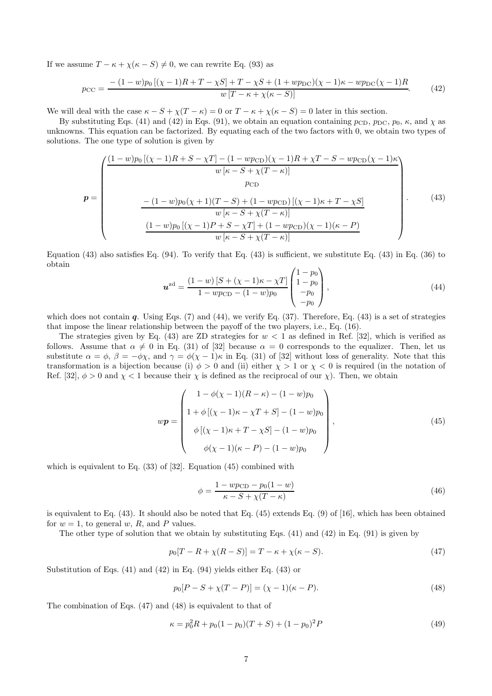If we assume  $T - \kappa + \chi(\kappa - S) \neq 0$ , we can rewrite Eq. (93) as

$$
p_{\rm CC} = \frac{- (1 - w)p_0 \left[ (\chi - 1)R + T - \chi S \right] + T - \chi S + (1 + w p_{\rm DC})(\chi - 1)\kappa - w p_{\rm DC}(\chi - 1)R}{w \left[ T - \kappa + \chi(\kappa - S) \right]}.
$$
(42)

We will deal with the case  $\kappa - S + \chi(T - \kappa) = 0$  or  $T - \kappa + \chi(\kappa - S) = 0$  later in this section.

By substituting Eqs. (41) and (42) in Eqs. (91), we obtain an equation containing  $p_{CD}$ ,  $p_{DC}$ ,  $p_0$ ,  $\kappa$ , and  $\chi$  as unknowns. This equation can be factorized. By equating each of the two factors with 0, we obtain two types of solutions. The one type of solution is given by

$$
p = \begin{pmatrix} \frac{(1-w)p_0[(\chi-1)R+S-\chi T] - (1-wp_{CD})(\chi-1)R+\chi T-S-wp_{CD}(\chi-1)\kappa}{w[\kappa-S+\chi(T-\kappa)]} \\ p_{CD} \\ \frac{P_{CD}}{w[\kappa-S+\chi(T-\kappa)]} \\ \frac{(1-w)p_0[(\chi-1)P+S-\chi T] + (1-wp_{CD})(\chi-1)(\kappa-P)}{w[\kappa-S+\chi(T-\kappa)]} \end{pmatrix} . \tag{43}
$$

Equation (43) also satisfies Eq. (94). To verify that Eq. (43) is sufficient, we substitute Eq. (43) in Eq. (36) to obtain  $\sqrt{1}$ 

$$
\boldsymbol{u}^{\text{zd}} = \frac{(1-w)\left[S + (\chi - 1)\kappa - \chi T\right]}{1 - w p_{\text{CD}} - (1 - w) p_0} \begin{pmatrix} 1 - p_0 \\ 1 - p_0 \\ - p_0 \\ - p_0 \end{pmatrix},\tag{44}
$$

which does not contain q. Using Eqs.  $(7)$  and  $(44)$ , we verify Eq.  $(37)$ . Therefore, Eq.  $(43)$  is a set of strategies that impose the linear relationship between the payoff of the two players, i.e., Eq. (16).

The strategies given by Eq. (43) are ZD strategies for  $w < 1$  as defined in Ref. [32], which is verified as follows. Assume that  $\alpha \neq 0$  in Eq. (31) of [32] because  $\alpha = 0$  corresponds to the equalizer. Then, let us substitute  $\alpha = \phi$ ,  $\beta = -\phi\chi$ , and  $\gamma = \phi(\chi - 1)\kappa$  in Eq. (31) of [32] without loss of generality. Note that this transformation is a bijection because (i)  $\phi > 0$  and (ii) either  $\chi > 1$  or  $\chi < 0$  is required (in the notation of Ref. [32],  $\phi > 0$  and  $\chi < 1$  because their  $\chi$  is defined as the reciprocal of our  $\chi$ ). Then, we obtain

$$
wp = \begin{pmatrix} 1 - \phi(\chi - 1)(R - \kappa) - (1 - w)p_0 \\ 1 + \phi[(\chi - 1)\kappa - \chi T + S] - (1 - w)p_0 \\ \phi[(\chi - 1)\kappa + T - \chi S] - (1 - w)p_0 \\ \phi(\chi - 1)(\kappa - P) - (1 - w)p_0 \end{pmatrix},
$$
(45)

which is equivalent to Eq. (33) of [32]. Equation (45) combined with

$$
\phi = \frac{1 - w p_{\text{CD}} - p_0 (1 - w)}{\kappa - S + \chi (T - \kappa)}\tag{46}
$$

is equivalent to Eq. (43). It should also be noted that Eq. (45) extends Eq. (9) of [16], which has been obtained for  $w = 1$ , to general w, R, and P values.

The other type of solution that we obtain by substituting Eqs.  $(41)$  and  $(42)$  in Eq.  $(91)$  is given by

$$
p_0[T - R + \chi(R - S)] = T - \kappa + \chi(\kappa - S). \tag{47}
$$

Substitution of Eqs. (41) and (42) in Eq. (94) yields either Eq. (43) or

$$
p_0[P - S + \chi(T - P)] = (\chi - 1)(\kappa - P). \tag{48}
$$

The combination of Eqs. (47) and (48) is equivalent to that of

$$
\kappa = p_0^2 R + p_0 (1 - p_0)(T + S) + (1 - p_0)^2 P \tag{49}
$$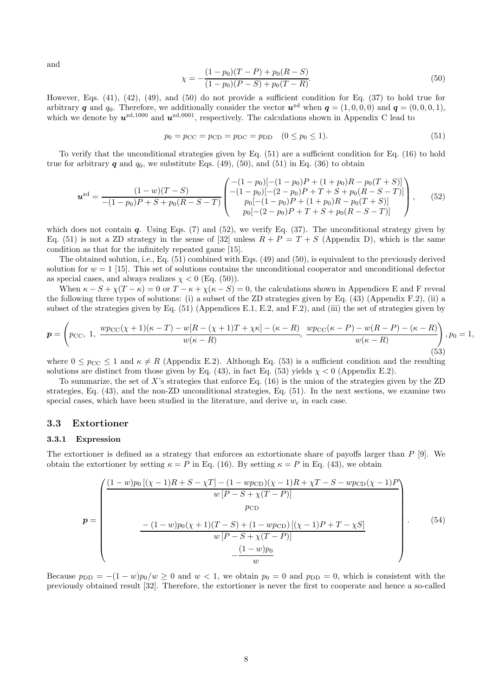and

$$
\chi = -\frac{(1 - p_0)(T - P) + p_0(R - S)}{(1 - p_0)(P - S) + p_0(T - R)}.\tag{50}
$$

However, Eqs. (41), (42), (49), and (50) do not provide a sufficient condition for Eq. (37) to hold true for arbitrary q and  $q_0$ . Therefore, we additionally consider the vector  $u^{zd}$  when  $q = (1, 0, 0, 0)$  and  $q = (0, 0, 0, 1)$ , which we denote by  $u^{zd,1000}$  and  $u^{zd,0001}$ , respectively. The calculations shown in Appendix C lead to

$$
p_0 = p_{\rm CC} = p_{\rm CD} = p_{\rm DC} = p_{\rm DD} \quad (0 \le p_0 \le 1).
$$
\n(51)

To verify that the unconditional strategies given by Eq. (51) are a sufficient condition for Eq. (16) to hold true for arbitrary  $q$  and  $q_0$ , we substitute Eqs. (49), (50), and (51) in Eq. (36) to obtain

$$
\boldsymbol{u}^{\text{zd}} = \frac{(1-w)(T-S)}{-(1-p_0)P+S+p_0(R-S-T)} \begin{pmatrix} -(1-p_0)[-(1-p_0)P+(1+p_0)R-p_0(T+S)] \\ -(1-p_0)[-(2-p_0)P+T+S+p_0(R-S-T)] \\ p_0[-(1-p_0)P+(1+p_0)R-p_0(T+S)] \\ p_0[-(2-p_0)P+T+S+p_0(R-S-T)] \end{pmatrix}, \qquad (52)
$$

which does not contain  $q$ . Using Eqs. (7) and (52), we verify Eq. (37). The unconditional strategy given by Eq. (51) is not a ZD strategy in the sense of [32] unless  $R + P = T + S$  (Appendix D), which is the same condition as that for the infinitely repeated game [15].

The obtained solution, i.e., Eq. (51) combined with Eqs. (49) and (50), is equivalent to the previously derived solution for  $w = 1$  [15]. This set of solutions contains the unconditional cooperator and unconditional defector as special cases, and always realizes  $\chi < 0$  (Eq. (50)).

When  $\kappa - S + \chi(T - \kappa) = 0$  or  $T - \kappa + \chi(\kappa - S) = 0$ , the calculations shown in Appendices E and F reveal the following three types of solutions: (i) a subset of the ZD strategies given by Eq. (43) (Appendix F.2), (ii) a subset of the strategies given by Eq. (51) (Appendices E.1, E.2, and F.2), and (iii) the set of strategies given by

$$
\boldsymbol{p} = \left(p_{\text{CC}}, 1, \frac{wp_{\text{CC}}(\chi+1)(\kappa-T) - w[R-(\chi+1)T+\chi\kappa] - (\kappa-R)}{w(\kappa-R)}, \frac{wp_{\text{CC}}(\kappa-P) - w(R-P) - (\kappa-R)}{w(\kappa-R)}\right), p_0 = 1,
$$
\n(53)

where  $0 \leq p_{\text{CC}} \leq 1$  and  $\kappa \neq R$  (Appendix E.2). Although Eq. (53) is a sufficient condition and the resulting solutions are distinct from those given by Eq. (43), in fact Eq. (53) yields  $\chi$  < 0 (Appendix E.2).

To summarize, the set of X's strategies that enforce Eq.  $(16)$  is the union of the strategies given by the ZD strategies, Eq. (43), and the non-ZD unconditional strategies, Eq. (51). In the next sections, we examine two special cases, which have been studied in the literature, and derive  $w_c$  in each case.

#### 3.3 Extortioner

#### 3.3.1 Expression

The extortioner is defined as a strategy that enforces an extortionate share of payoffs larger than P [9]. We obtain the extortioner by setting  $\kappa = P$  in Eq. (16). By setting  $\kappa = P$  in Eq. (43), we obtain

$$
p = \begin{pmatrix} \frac{(1-w)p_0[(\chi-1)R+S-\chi T] - (1-wp_{\text{CD}})(\chi-1)R+\chi T-S-wp_{\text{CD}}(\chi-1)P}{w[P-S+\chi(T-P)]} \\ p_{\text{CD}} \\ -\frac{-(1-w)p_0(\chi+1)(T-S)+(1-wp_{\text{CD}})[(\chi-1)P+T-\chi S]}{w[P-S+\chi(T-P)]} \\ -\frac{(1-w)p_0}{w} \end{pmatrix} . \tag{54}
$$

Because  $p_{\text{DD}} = -(1-w)p_0/w \ge 0$  and  $w < 1$ , we obtain  $p_0 = 0$  and  $p_{\text{DD}} = 0$ , which is consistent with the previously obtained result [32]. Therefore, the extortioner is never the first to cooperate and hence a so-called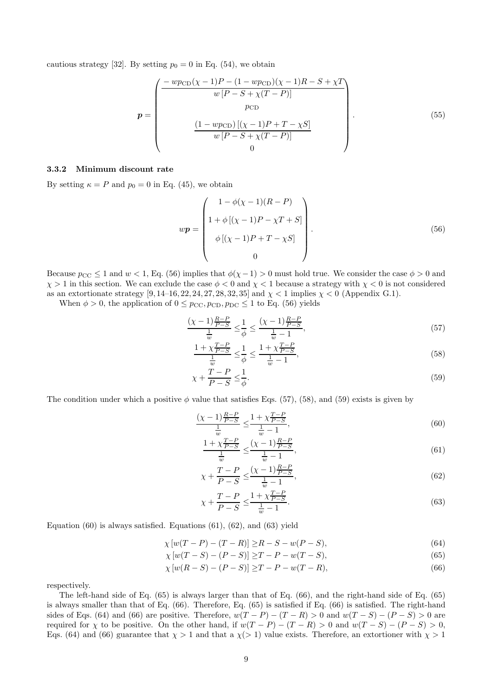cautious strategy [32]. By setting  $p_0 = 0$  in Eq. (54), we obtain

$$
p = \begin{pmatrix} \frac{-wp_{\text{CD}}(\chi - 1)P - (1 - wp_{\text{CD}})(\chi - 1)R - S + \chi T}{w [P - S + \chi (T - P)]} \\ p_{\text{CD}} \\ \frac{(1 - wp_{\text{CD}})[(\chi - 1)P + T - \chi S]}{w [P - S + \chi (T - P)]} \\ 0 \end{pmatrix} .
$$
(55)

#### 3.3.2 Minimum discount rate

By setting  $\kappa = P$  and  $p_0 = 0$  in Eq. (45), we obtain

$$
wp = \begin{pmatrix} 1 - \phi(\chi - 1)(R - P) \\ 1 + \phi[(\chi - 1)P - \chi T + S] \\ \phi[(\chi - 1)P + T - \chi S] \\ 0 \end{pmatrix} .
$$
 (56)

Because  $p_{CC} \le 1$  and  $w < 1$ , Eq. (56) implies that  $\phi(\chi - 1) > 0$  must hold true. We consider the case  $\phi > 0$  and  $\chi > 1$  in this section. We can exclude the case  $\phi < 0$  and  $\chi < 1$  because a strategy with  $\chi < 0$  is not considered as an extortionate strategy  $[9, 14-16, 22, 24, 27, 28, 32, 35]$  and  $\chi < 1$  implies  $\chi < 0$  (Appendix G.1).

When  $\phi > 0$ , the application of  $0 \le p_{\text{CC}}$ ,  $p_{\text{CD}}$ ,  $p_{\text{DC}} \le 1$  to Eq. (56) yields

$$
\frac{(\chi - 1) \frac{R - P}{P - S}}{\frac{1}{w}} \le \frac{1}{\phi} \le \frac{(\chi - 1) \frac{R - P}{P - S}}{\frac{1}{w} - 1},\tag{57}
$$

$$
\frac{1+\chi_{\overline{P-S}}^{\overline{T-P}}}{\frac{1}{w}} \leq \frac{1}{\phi} \leq \frac{1+\chi_{\overline{P-S}}^{\overline{T-P}}}{\frac{1}{w}-1},\tag{58}
$$

$$
\chi + \frac{T - P}{P - S} \le \frac{1}{\phi}.\tag{59}
$$

The condition under which a positive  $\phi$  value that satisfies Eqs. (57), (58), and (59) exists is given by

$$
\frac{(\chi - 1)\frac{R - P}{P - S}}{\frac{1}{w}} \le \frac{1 + \chi \frac{T - P}{P - S}}{\frac{1}{w} - 1},\tag{60}
$$

$$
\frac{1 + \chi \frac{T - P}{P - S}}{\frac{1}{w}} \le \frac{(\chi - 1) \frac{R - P}{P - S}}{\frac{1}{w} - 1},\tag{61}
$$

$$
\chi + \frac{T - P}{P - S} \le \frac{(\chi - 1)\frac{R - P}{P - S}}{\frac{1}{w} - 1},\tag{62}
$$

$$
\chi + \frac{T - P}{P - S} \le \frac{1 + \chi \frac{T - P}{P - S}}{\frac{1}{w} - 1}.
$$
\n(63)

Equation  $(60)$  is always satisfied. Equations  $(61)$ ,  $(62)$ , and  $(63)$  yield

$$
\chi [w(T - P) - (T - R)] \ge R - S - w(P - S), \tag{64}
$$

$$
\chi \left[ w(T - S) - (P - S) \right] \ge T - P - w(T - S),\tag{65}
$$

$$
\chi \left[ w(R - S) - (P - S) \right] \ge T - P - w(T - R),\tag{66}
$$

respectively.

The left-hand side of Eq. (65) is always larger than that of Eq. (66), and the right-hand side of Eq. (65) is always smaller than that of Eq. (66). Therefore, Eq. (65) is satisfied if Eq. (66) is satisfied. The right-hand sides of Eqs. (64) and (66) are positive. Therefore,  $w(T - P) - (T - R) > 0$  and  $w(T - S) - (P - S) > 0$  are required for  $\chi$  to be positive. On the other hand, if  $w(T - P) - (T - R) > 0$  and  $w(T - S) - (P - S) > 0$ , Eqs. (64) and (66) guarantee that  $\chi > 1$  and that a  $\chi$ ( $> 1$ ) value exists. Therefore, an extortioner with  $\chi > 1$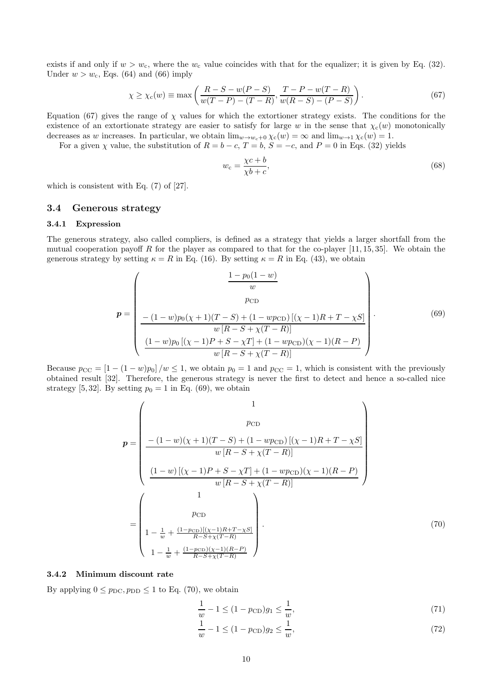exists if and only if  $w > w_c$ , where the  $w_c$  value coincides with that for the equalizer; it is given by Eq. (32). Under  $w > w_c$ , Eqs. (64) and (66) imply

$$
\chi \ge \chi_{\rm c}(w) \equiv \max\left(\frac{R - S - w(P - S)}{w(T - P) - (T - R)}, \frac{T - P - w(T - R)}{w(R - S) - (P - S)}\right). \tag{67}
$$

Equation (67) gives the range of  $\chi$  values for which the extortioner strategy exists. The conditions for the existence of an extortionate strategy are easier to satisfy for large w in the sense that  $\chi_c(w)$  monotonically decreases as w increases. In particular, we obtain  $\lim_{w\to w_c+0} \chi_c(w) = \infty$  and  $\lim_{w\to 1} \chi_c(w) = 1$ .

For a given  $\chi$  value, the substitution of  $R = b - c$ ,  $T = b$ ,  $S = -c$ , and  $P = 0$  in Eqs. (32) yields

$$
w_c = \frac{\chi c + b}{\chi b + c},\tag{68}
$$

which is consistent with Eq. (7) of [27].

#### 3.4 Generous strategy

#### 3.4.1 Expression

The generous strategy, also called compliers, is defined as a strategy that yields a larger shortfall from the mutual cooperation payoff R for the player as compared to that for the co-player  $[11, 15, 35]$ . We obtain the generous strategy by setting  $\kappa = R$  in Eq. (16). By setting  $\kappa = R$  in Eq. (43), we obtain

$$
p = \left(\begin{array}{c}\n\frac{1 - p_0(1 - w)}{w} \\
PCD \\
-(1 - w)p_0(\chi + 1)(T - S) + (1 - wp_{CD})[(\chi - 1)R + T - \chi S] \\
w[R - S + \chi(T - R)]\n\end{array}\right).
$$
\n(69)  
\n
$$
\frac{(1 - w)p_0[(\chi - 1)P + S - \chi T] + (1 - wp_{CD})(\chi - 1)(R - P)}{w[R - S + \chi(T - R)]}
$$

Because  $p_{CC} = \left[1 - (1 - w)p_0\right] / w \le 1$ , we obtain  $p_0 = 1$  and  $p_{CC} = 1$ , which is consistent with the previously obtained result [32]. Therefore, the generous strategy is never the first to detect and hence a so-called nice strategy [5,32]. By setting  $p_0 = 1$  in Eq. (69), we obtain

$$
p = \begin{pmatrix} 1 \\ pcD \\ -(1-w)(\chi+1)(T-S) + (1-wpcD)[(\chi-1)R+T-\chi S] \\ w[R-S+\chi(T-R)] \end{pmatrix}
$$

$$
\frac{(1-w)[(\chi-1)P+S-\chi T] + (1-wpcD)(\chi-1)(R-P)}{w[R-S+\chi(T-R)]}
$$

$$
= \begin{pmatrix} 1 \\ pcD \\ 1-\frac{1}{w}+\frac{(1-pcD)[(\chi-1)R+T-\chi S]}{R-S+\chi(T-R)} \\ 1-\frac{1}{w}+\frac{(1-pcD)(\chi-1)(R-P)}{R-S+\chi(T-R)} \end{pmatrix} .
$$
(70)

### 3.4.2 Minimum discount rate

By applying  $0 \le p_{\text{DC}}, p_{\text{DD}} \le 1$  to Eq. (70), we obtain

$$
\frac{1}{w} - 1 \le (1 - p_{\text{CD}})g_1 \le \frac{1}{w},\tag{71}
$$

$$
\frac{1}{w} - 1 \le (1 - p_{\text{CD}})g_2 \le \frac{1}{w},\tag{72}
$$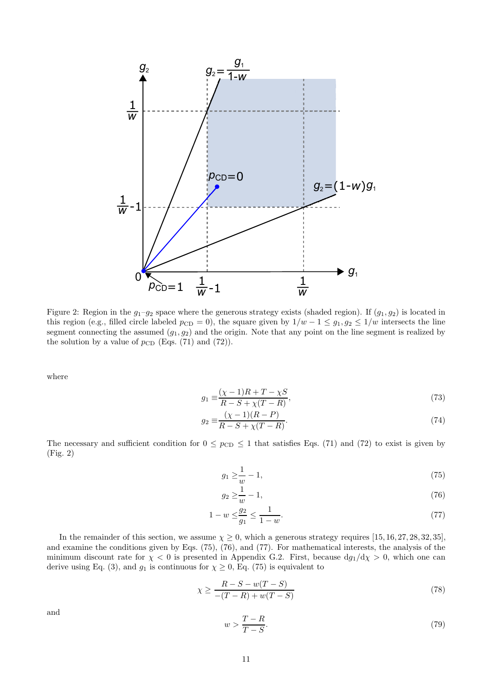

Figure 2: Region in the  $g_1-g_2$  space where the generous strategy exists (shaded region). If  $(g_1, g_2)$  is located in this region (e.g., filled circle labeled  $p_{CD} = 0$ ), the square given by  $1/w - 1 \le g_1, g_2 \le 1/w$  intersects the line segment connecting the assumed  $(g_1, g_2)$  and the origin. Note that any point on the line segment is realized by the solution by a value of  $p_{CD}$  (Eqs. (71) and (72)).

where

$$
g_1 \equiv \frac{(\chi - 1)R + T - \chi S}{R - S + \chi(T - R)},
$$
\n(73)

$$
g_2 \equiv \frac{(\chi - 1)(R - P)}{R - S + \chi(T - R)}.
$$
\n(74)

The necessary and sufficient condition for  $0 \le p_{CD} \le 1$  that satisfies Eqs. (71) and (72) to exist is given by (Fig. 2)

$$
g_1 \ge \frac{1}{w} - 1,\tag{75}
$$

$$
g_2 \ge \frac{1}{w} - 1,\tag{76}
$$

$$
1 - w \le \frac{g_2}{g_1} \le \frac{1}{1 - w}.\tag{77}
$$

In the remainder of this section, we assume  $\chi \ge 0$ , which a generous strategy requires [15, 16, 27, 28, 32, 35], and examine the conditions given by Eqs. (75), (76), and (77). For mathematical interests, the analysis of the minimum discount rate for  $\chi$  < 0 is presented in Appendix G.2. First, because  $dg_1/d\chi > 0$ , which one can derive using Eq. (3), and  $g_1$  is continuous for  $\chi \geq 0$ , Eq. (75) is equivalent to

$$
\chi \ge \frac{R - S - w(T - S)}{-(T - R) + w(T - S)}
$$
\n(78)

and

$$
w > \frac{T - R}{T - S}.\tag{79}
$$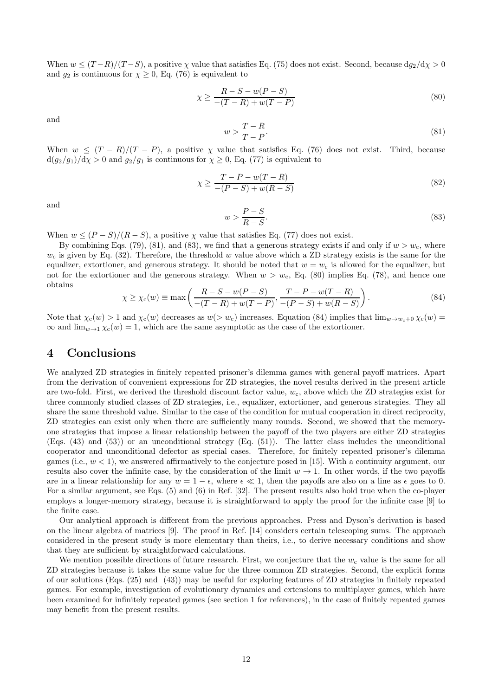When  $w \le (T-R)/(T-S)$ , a positive  $\chi$  value that satisfies Eq. (75) does not exist. Second, because  $dg_2/d\chi > 0$ and  $g_2$  is continuous for  $\chi \geq 0$ , Eq. (76) is equivalent to

$$
\chi \ge \frac{R - S - w(P - S)}{-(T - R) + w(T - P)}
$$
\n(80)

and

$$
w > \frac{T - R}{T - P}.\tag{81}
$$

When  $w \le (T - R)/(T - P)$ , a positive  $\chi$  value that satisfies Eq. (76) does not exist. Third, because  $d(g_2/g_1)/d\chi > 0$  and  $g_2/g_1$  is continuous for  $\chi \geq 0$ , Eq. (77) is equivalent to

$$
\chi \ge \frac{T - P - w(T - R)}{-(P - S) + w(R - S)}\tag{82}
$$

and

$$
w > \frac{P - S}{R - S}.\tag{83}
$$

When  $w \leq (P - S)/(R - S)$ , a positive  $\chi$  value that satisfies Eq. (77) does not exist.

By combining Eqs. (79), (81), and (83), we find that a generous strategy exists if and only if  $w > w_c$ , where  $w_c$  is given by Eq. (32). Therefore, the threshold w value above which a ZD strategy exists is the same for the equalizer, extortioner, and generous strategy. It should be noted that  $w = w_c$  is allowed for the equalizer, but not for the extortioner and the generous strategy. When  $w > w_c$ , Eq. (80) implies Eq. (78), and hence one obtains

$$
\chi \ge \chi_{\rm c}(w) \equiv \max\left(\frac{R-S-w(P-S)}{-(T-R)+w(T-P)}, \frac{T-P-w(T-R)}{-(P-S)+w(R-S)}\right). \tag{84}
$$

Note that  $\chi_c(w) > 1$  and  $\chi_c(w)$  decreases as  $w(> w_c)$  increases. Equation (84) implies that  $\lim_{w \to w_c+0} \chi_c(w)$  $\infty$  and  $\lim_{w\to 1} \chi_c(w) = 1$ , which are the same asymptotic as the case of the extortioner.

## 4 Conclusions

We analyzed ZD strategies in finitely repeated prisoner's dilemma games with general payoff matrices. Apart from the derivation of convenient expressions for ZD strategies, the novel results derived in the present article are two-fold. First, we derived the threshold discount factor value,  $w_c$ , above which the ZD strategies exist for three commonly studied classes of ZD strategies, i.e., equalizer, extortioner, and generous strategies. They all share the same threshold value. Similar to the case of the condition for mutual cooperation in direct reciprocity, ZD strategies can exist only when there are sufficiently many rounds. Second, we showed that the memoryone strategies that impose a linear relationship between the payoff of the two players are either ZD strategies (Eqs. (43) and (53)) or an unconditional strategy (Eq. (51)). The latter class includes the unconditional cooperator and unconditional defector as special cases. Therefore, for finitely repeated prisoner's dilemma games (i.e.,  $w < 1$ ), we answered affirmatively to the conjecture posed in [15]. With a continuity argument, our results also cover the infinite case, by the consideration of the limit  $w \to 1$ . In other words, if the two payoffs are in a linear relationship for any  $w = 1 - \epsilon$ , where  $\epsilon \ll 1$ , then the payoffs are also on a line as  $\epsilon$  goes to 0. For a similar argument, see Eqs. (5) and (6) in Ref. [32]. The present results also hold true when the co-player employs a longer-memory strategy, because it is straightforward to apply the proof for the infinite case [9] to the finite case.

Our analytical approach is different from the previous approaches. Press and Dyson's derivation is based on the linear algebra of matrices [9]. The proof in Ref. [14] considers certain telescoping sums. The approach considered in the present study is more elementary than theirs, i.e., to derive necessary conditions and show that they are sufficient by straightforward calculations.

We mention possible directions of future research. First, we conjecture that the  $w_c$  value is the same for all ZD strategies because it takes the same value for the three common ZD strategies. Second, the explicit forms of our solutions (Eqs. (25) and (43)) may be useful for exploring features of ZD strategies in finitely repeated games. For example, investigation of evolutionary dynamics and extensions to multiplayer games, which have been examined for infinitely repeated games (see section 1 for references), in the case of finitely repeated games may benefit from the present results.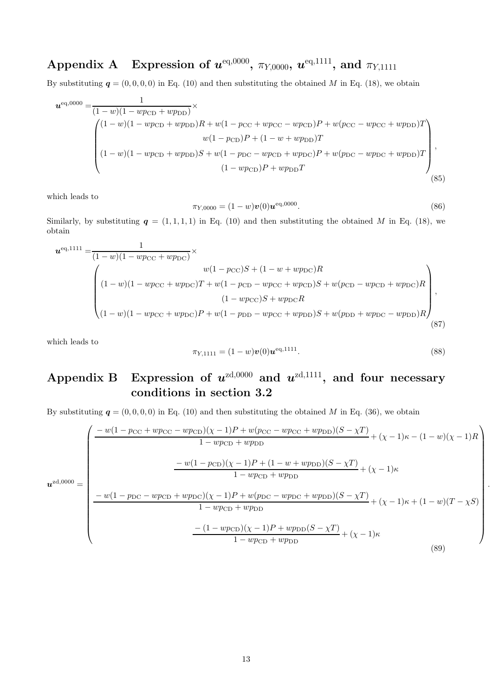# $\textbf{Appendix A} \quad \textbf{Expression of } \boldsymbol{u}^{\text{eq,0000}}, \ \pi_{Y,0000}, \ \boldsymbol{u}^{\text{eq,1111}}, \ \textbf{and } \ \pi_{Y,1111}$

By substituting  $q = (0, 0, 0, 0)$  in Eq. (10) and then substituting the obtained M in Eq. (18), we obtain

$$
\mathbf{u}^{\text{eq,0000}} = \frac{1}{(1-w)(1 - wp_{\text{CD}} + wp_{\text{DD}})} \times \n\begin{pmatrix}\n(1-w)(1 - wp_{\text{CD}} + wp_{\text{DD}})R + w(1 - pc_{\text{C}} + wp_{\text{CC}} - wp_{\text{CD}})P + w(p_{\text{CC}} - wp_{\text{CC}} + wp_{\text{DD}})T \\
w(1 - p_{\text{CD}})P + (1 - w + wp_{\text{DD}})T \\
(1 - w)(1 - wp_{\text{CD}} + wp_{\text{DD}})S + w(1 - p_{\text{DC}} - wp_{\text{CD}} + wp_{\text{DC}})P + w(p_{\text{DC}} - wp_{\text{DC}} + wp_{\text{DD}})T \\
(1 - wp_{\text{CD}})P + wp_{\text{DD}}T\n\end{pmatrix},
$$
\n(85)

which leads to

$$
\pi_{Y,0000} = (1 - w)v(0)\mathbf{u}^{\text{eq},0000}.\tag{86}
$$

Similarly, by substituting  $q = (1, 1, 1, 1)$  in Eq. (10) and then substituting the obtained M in Eq. (18), we obtain

$$
u^{\text{eq},1111} = \frac{1}{(1-w)(1-wp_{\text{CC}}+wp_{\text{DC}})} \times
$$
  

$$
\begin{pmatrix} w(1-p_{\text{CC}})S + (1-w+wp_{\text{DC}})R \\ (1-w)(1-wp_{\text{CC}}+wp_{\text{DC}})T + w(1-p_{\text{CD}}-wp_{\text{CC}}+wp_{\text{CD}})S + w(p_{\text{CD}}-wp_{\text{CD}}+wp_{\text{DC}})R \\ (1-w)(1-wp_{\text{CC}}+wp_{\text{DC}})P + w(1-p_{\text{DD}}-wp_{\text{CC}}+wp_{\text{DD}})S + w(p_{\text{DD}}+wp_{\text{DC}}-wp_{\text{DD}})R \end{pmatrix},
$$
  
(87)

which leads to

$$
\pi_{Y,1111} = (1 - w)v(0)\mathbf{u}^{\text{eq},1111}.
$$
\n(88)

.

# Appendix B Expression of  $u^{zd,0000}$  and  $u^{zd,1111}$ , and four necessary conditions in section 3.2

By substituting  $q = (0, 0, 0, 0)$  in Eq. (10) and then substituting the obtained M in Eq. (36), we obtain

$$
u^{zd,0000} = \begin{pmatrix} \frac{-w(1 - p_{CC} + wp_{CC} - wp_{CD})(\chi - 1)P + w(p_{CC} - wp_{CC} + wp_{DD})(S - \chi T)}{1 - wp_{CD} + wp_{DD}} + (\chi - 1)\kappa - (1 - w)(\chi - 1)R \\ & & -w(1 - p_{CD})(\chi - 1)P + (1 - w + wp_{DD})(S - \chi T)}{1 - wp_{CD} + wp_{DD}} + (\chi - 1)\kappa \\ & & -w(1 - p_{DC} - wp_{CD} + wp_{DC})(\chi - 1)P + w(p_{DC} - wp_{DC} + wp_{DD})(S - \chi T)}{1 - wp_{CD} + wp_{DD}} + (\chi - 1)\kappa + (1 - w)(T - \chi S) \\ & & - (1 - wp_{CD})(\chi - 1)P + wp_{DD}(S - \chi T)}{1 - wp_{CD} + wp_{DD}} \end{pmatrix}
$$
(89)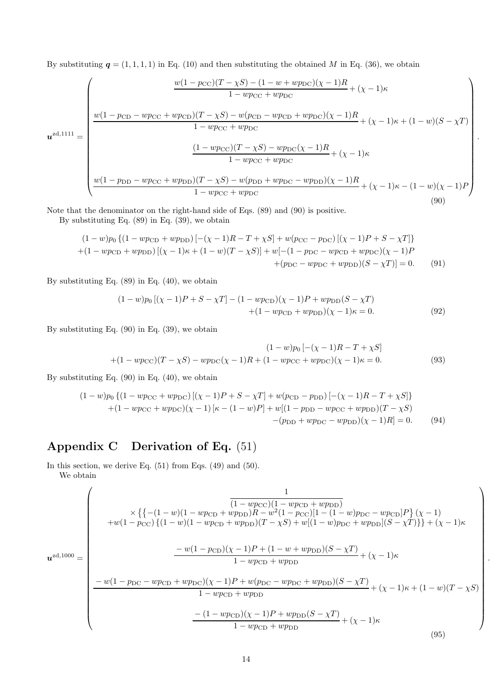By substituting  $q = (1, 1, 1, 1)$  in Eq. (10) and then substituting the obtained M in Eq. (36), we obtain

$$
u^{zd,1111} = \begin{pmatrix} \frac{w(1 - p_{\text{CC}})(T - \chi S) - (1 - w + wp_{\text{DC}})(\chi - 1)R}{1 - wp_{\text{CC}} + wp_{\text{DC}}} + (\chi - 1)\kappa \\ \frac{w(1 - p_{\text{CD}} - wp_{\text{CC}} + wp_{\text{CD}})(T - \chi S) - w(p_{\text{CD}} - wp_{\text{CD}} + wp_{\text{DC}})(\chi - 1)R}{1 - wp_{\text{CC}} + wp_{\text{DC}}} + (\chi - 1)\kappa + (1 - w)(S - \chi T) \\ \frac{(1 - wp_{\text{CC}})(T - \chi S) - wp_{\text{DC}}(\chi - 1)R}{1 - wp_{\text{CC}} + wp_{\text{DC}}} + (\chi - 1)\kappa \\ \frac{w(1 - p_{\text{DD}} - wp_{\text{CC}} + wp_{\text{DD}})(T - \chi S) - w(p_{\text{DD}} + wp_{\text{DC}} - wp_{\text{DD}})(\chi - 1)R}{1 - wp_{\text{CC}} + wp_{\text{DC}}} + (\chi - 1)\kappa - (1 - w)(\chi - 1)P \end{pmatrix}
$$
(90)

.

.

Note that the denominator on the right-hand side of Eqs. (89) and (90) is positive.

By substituting Eq. (89) in Eq. (39), we obtain

$$
(1 - w)p_0 \{(1 - wp_{CD} + wp_{DD})\} [-(\chi - 1)R - T + \chi S] + w(p_{CC} - p_{DC}) [(\chi - 1)P + S - \chi T]\}+(1 - wp_{CD} + wp_{DD}) [(\chi - 1)\kappa + (1 - w)(T - \chi S)] + w[-(1 - p_{DC} - wp_{CD} + wp_{DC})(\chi - 1)P+(p_{DC} - wp_{DC} + wp_{DD})(S - \chi T)] = 0.
$$
 (91)

By substituting Eq. (89) in Eq. (40), we obtain

$$
(1 - w)p_0[(\chi - 1)P + S - \chi T] - (1 - wp_{CD})(\chi - 1)P + wp_{DD}(S - \chi T)
$$
  
+(1 - wp\_{CD} + wp\_{DD})(\chi - 1)\kappa = 0. (92)

By substituting Eq. (90) in Eq. (39), we obtain

$$
(1-w)p_0 [-(\chi - 1)R - T + \chi S]
$$
  
+(1-wp<sub>CC</sub>)(T - \chi S) - wp<sub>DC</sub>(\chi - 1)R + (1-wp<sub>CC</sub> + wp<sub>DC</sub>)(\chi - 1)\kappa = 0. (93)

By substituting Eq. (90) in Eq. (40), we obtain

$$
(1 - w)p_0 \{ (1 - wp_{CC} + wp_{DC}) \left[ (\chi - 1)P + S - \chi T \right] + w(p_{CD} - p_{DD}) \left[ -(\chi - 1)R - T + \chi S \right] \} + (1 - wp_{CC} + wp_{DC}) (\chi - 1) \left[ \kappa - (1 - w)P \right] + w \left[ (1 - p_{DD} - wp_{CC} + wp_{DD}) (T - \chi S) \right] - (p_{DD} + wp_{DC} - wp_{DD}) (\chi - 1)R \} = 0.
$$
 (94)

# Appendix C Derivation of Eq. (51)

In this section, we derive Eq.  $(51)$  from Eqs.  $(49)$  and  $(50)$ . We obtain

$$
u^{zd,1000} = \begin{pmatrix} \frac{1}{(1 - wp_{\text{CD}})(1 - wp_{\text{CD}} + wp_{\text{DD}})} \\ \times \{ \{ -(1 - w)(1 - wp_{\text{CD}} + wp_{\text{DD}})R - w^2(1 - pc_{\text{C}})[1 - (1 - w) p_{\text{DC}} - wp_{\text{CD}}]P \} (\chi - 1) \\ + w(1 - pc_{\text{C}}) \{ (1 - w)(1 - wp_{\text{CD}} + wp_{\text{DD}})(T - \chi S) + w[(1 - w) p_{\text{DC}} + wp_{\text{DD}}](S - \chi T) \} + (\chi - 1)\kappa \\ - w(1 - pc_{\text{DC}} - wp_{\text{CD}} + wp_{\text{DC}})(\chi - 1)P + (1 - w + wp_{\text{DD}})(S - \chi T)}{1 - wp_{\text{CD}} + wp_{\text{DD}}} + (\chi - 1)\kappa + (1 - w)(T - \chi S) \\ - (1 - wp_{\text{CD}} + wp_{\text{DD}}) - (1 - wp_{\text{CD}} + wp_{\text{DD}}) - (1 - wp_{\text{CD}})(\chi - 1)P + wp_{\text{DD}}(S - \chi T)}{1 - wp_{\text{CD}} + wp_{\text{DD}}} + (\chi - 1)\kappa \end{pmatrix}
$$
(95)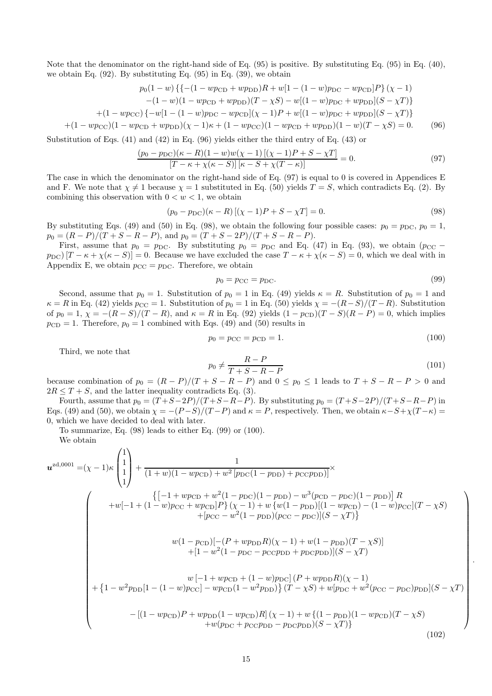Note that the denominator on the right-hand side of Eq. (95) is positive. By substituting Eq. (95) in Eq. (40), we obtain Eq. (92). By substituting Eq. (95) in Eq. (39), we obtain

$$
p_0(1-w)\{\{-(1-wp_{CD}+wp_{DD})R+w[1-(1-w)p_{DC}-wp_{CD}]P\}(\chi-1)-(1-w)(1-wp_{CD}+wp_{DD})(T-\chi S)-w[(1-w)p_{DC}+wp_{DD}](S-\chi T)\}\
$$

$$
+(1-wp_{\rm CC})\{-w[1-(1-w)p_{\rm DC}-wp_{\rm CD}](\chi-1)P+w[(1-w)p_{\rm DC}+wp_{\rm DD}](S-\chi T)\}
$$

$$
+(1 - wp_{\rm CC})(1 - wp_{\rm CD} + wp_{\rm DD})(\chi - 1)\kappa + (1 - wp_{\rm CC})(1 - wp_{\rm CD} + wp_{\rm DD})(1 - w)(T - \chi S) = 0. \tag{96}
$$

Substitution of Eqs. (41) and (42) in Eq. (96) yields either the third entry of Eq. (43) or

$$
\frac{(p_0 - p_{\rm DC})(\kappa - R)(1 - w)w(\chi - 1)[(\chi - 1)P + S - \chi T]}{[T - \kappa + \chi(\kappa - S)][\kappa - S + \chi(T - \kappa)]} = 0.
$$
\n(97)

The case in which the denominator on the right-hand side of Eq. (97) is equal to 0 is covered in Appendices E and F. We note that  $\chi \neq 1$  because  $\chi = 1$  substituted in Eq. (50) yields  $T = S$ , which contradicts Eq. (2). By combining this observation with  $0 < w < 1$ , we obtain

$$
(p_0 - p_{DC})(\kappa - R)[(\chi - 1)P + S - \chi T] = 0.
$$
\n(98)

By substituting Eqs. (49) and (50) in Eq. (98), we obtain the following four possible cases:  $p_0 = p_{\text{DC}}$ ,  $p_0 = 1$ ,  $p_0 = (R - P)/(T + S - R - P)$ , and  $p_0 = (T + S - 2P)/(T + S - R - P)$ .

First, assume that  $p_0 = p_{DC}$ . By substituting  $p_0 = p_{DC}$  and Eq. (47) in Eq. (93), we obtain ( $p_{CC}$  −  $p_{\text{DC}}([T - \kappa + \chi(\kappa - S)] = 0$ . Because we have excluded the case  $T - \kappa + \chi(\kappa - S) = 0$ , which we deal with in Appendix E, we obtain  $p_{CC} = p_{DC}$ . Therefore, we obtain

$$
p_0 = p_{\rm CC} = p_{\rm DC}.\tag{99}
$$

Second, assume that  $p_0 = 1$ . Substitution of  $p_0 = 1$  in Eq. (49) yields  $\kappa = R$ . Substitution of  $p_0 = 1$  and  $\kappa = R$  in Eq. (42) yields  $p_{CC} = 1$ . Substitution of  $p_0 = 1$  in Eq. (50) yields  $\chi = -(R-S)/(T-R)$ . Substitution of  $p_0 = 1$ ,  $\chi = -(R - S)/(T - R)$ , and  $\kappa = R$  in Eq. (92) yields  $(1 - p_{CD})(T - S)(R - P) = 0$ , which implies  $p_{CD} = 1$ . Therefore,  $p_0 = 1$  combined with Eqs. (49) and (50) results in

$$
p_0 = p_{\rm CC} = p_{\rm CD} = 1. \tag{100}
$$

Third, we note that

$$
p_0 \neq \frac{R - P}{T + S - R - P} \tag{101}
$$

 $\setminus$ 

 .

because combination of  $p_0 = (R - P)/(T + S - R - P)$  and  $0 \le p_0 \le 1$  leads to  $T + S - R - P > 0$  and  $2R \leq T + S$ , and the latter inequality contradicts Eq. (3).

Fourth, assume that  $p_0 = (T + S - 2P)/(T + S - R - P)$ . By substituting  $p_0 = (T + S - 2P)/(T + S - R - P)$  in Eqs. (49) and (50), we obtain  $\chi = -(P-S)/(T-P)$  and  $\kappa = P$ , respectively. Then, we obtain  $\kappa - S + \chi(T-\kappa) =$ 0, which we have decided to deal with later.

To summarize, Eq. (98) leads to either Eq. (99) or (100).

We obtain

$$
\mathbf{u}^{\text{zd},0001} = (\chi - 1)\kappa \begin{pmatrix} 1 \\ 1 \\ 1 \end{pmatrix} + \frac{1}{(1+w)(1 - wp_{CD}) + w^2 \left[ p_{\text{DC}}(1 - p_{\text{DD}}) + p_{\text{CC}P\text{DD}} \right]^{\times}} \left\{ \left[ -1 + wp_{\text{CD}} + w^2(1 - p_{\text{DC}})(1 - p_{\text{DD}}) - w^3(p_{\text{CD}} - p_{\text{DC}})(1 - p_{\text{DD}}) \right] R \right. \\ \left. + w[-1 + (1 - w)p_{\text{CC}} + wp_{\text{CD}}]P\} (\chi - 1) + w \left\{ w(1 - p_{\text{DD}})[(1 - wp_{\text{CD}}) - (1 - w)p_{\text{CC}}](T - \chi S) \right. \\ \left. + [p_{\text{CC}} - w^2(1 - p_{\text{DD}})(p_{\text{CC}} - p_{\text{DC}})](S - \chi T) \right\} \right. \\ \left. w(1 - p_{\text{CD}}) \left[ -(P + wp_{\text{DD}}R)(\chi - 1) + w(1 - p_{\text{DD}})(T - \chi S) \right] \right. \\ \left. + [1 - w^2(1 - p_{\text{DC}} - p_{\text{CC}P\text{DD}} + p_{\text{DC}P\text{DD}})](S - \chi T) \right. \\ \left. + \left\{ 1 - w^2 p_{\text{DD}}[1 - (1 - w)p_{\text{CC}}] - wp_{\text{CD}}(1 - w^2 p_{\text{DD}}) \right\} (T - \chi S) + w[p_{\text{DC}} + w^2(p_{\text{CC}} - p_{\text{DC}})p_{\text{DD}}](S - \chi T) \right. \\ \left. - [(1 - wp_{\text{CD}})P + wp_{\text{DD}}(1 - wp_{\text{CD}})R] (\chi - 1) + w \left\{ (1 - p_{\text{DD}})(1 - wp_{\text{CD}})(T - \chi S) \right. \\ \left. + w(p_{\text{DC}} + p_{\text{CC}P\text{DD}} - p_{\text{DC}P\text{DD}})(S - \chi T) \right\} \right] \tag{102}
$$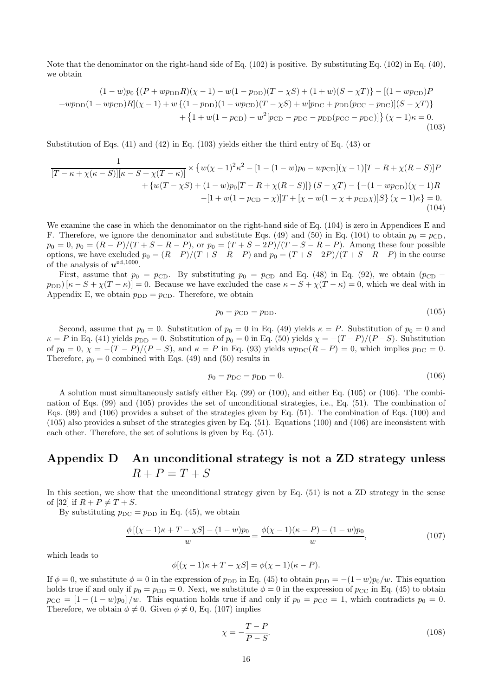Note that the denominator on the right-hand side of Eq. (102) is positive. By substituting Eq. (102) in Eq. (40), we obtain

$$
(1 - w)p_0\left\{(P + wp_{\text{DD}}R)(\chi - 1) - w(1 - p_{\text{DD}})(T - \chi S) + (1 + w)(S - \chi T)\right\} - [(1 - wp_{\text{CD}})P + wp_{\text{DD}}(1 - wp_{\text{CD}})R](\chi - 1) + w\left\{(1 - p_{\text{DD}})(1 - wp_{\text{CD}})(T - \chi S) + w[p_{\text{DC}} + p_{\text{DD}}(p_{\text{CC}} - p_{\text{DC}})](S - \chi T)\right\} + \left\{1 + w(1 - p_{\text{CD}}) - w^2[p_{\text{CD}} - p_{\text{DC}} - p_{\text{DD}}(p_{\text{CC}} - p_{\text{DC}})]\right\}(\chi - 1)\kappa = 0.
$$
\n(103)

Substitution of Eqs. (41) and (42) in Eq. (103) yields either the third entry of Eq. (43) or

$$
\frac{1}{[T - \kappa + \chi(\kappa - S)][\kappa - S + \chi(T - \kappa)]} \times \{w(\chi - 1)^2 \kappa^2 - [1 - (1 - w)p_0 - wp_{CD}](\chi - 1)[T - R + \chi(R - S)]P + \{w(T - \chi S) + (1 - w)p_0[T - R + \chi(R - S)]\} (S - \chi T) - \{-(1 - wp_{CD})(\chi - 1)R - [1 + w(1 - p_{CD} - \chi)]T + [\chi - w(1 - \chi + p_{CD}\chi)]S\} (\chi - 1)\kappa = 0.
$$
\n(104)

We examine the case in which the denominator on the right-hand side of Eq. (104) is zero in Appendices E and F. Therefore, we ignore the denominator and substitute Eqs. (49) and (50) in Eq. (104) to obtain  $p_0 = p_{CD}$ ,  $p_0 = 0, p_0 = (R - P)/(T + S - R - P)$ , or  $p_0 = (T + S - 2P)/(T + S - R - P)$ . Among these four possible options, we have excluded  $p_0 = (R - P)/(T + S - R - P)$  and  $p_0 = (T + S - 2P)/(T + S - R - P)$  in the course of the analysis of  $u^{zd,1000}$ .

First, assume that  $p_0 = p_{CD}$ . By substituting  $p_0 = p_{CD}$  and Eq. (48) in Eq. (92), we obtain ( $p_{CD}$  –  $p_{\text{DD}}$ )  $[\kappa - S + \chi(T - \kappa)] = 0$ . Because we have excluded the case  $\kappa - S + \chi(T - \kappa) = 0$ , which we deal with in Appendix E, we obtain  $p_{\text{DD}} = p_{\text{CD}}$ . Therefore, we obtain

$$
p_0 = p_{CD} = p_{DD}.\tag{105}
$$

Second, assume that  $p_0 = 0$ . Substitution of  $p_0 = 0$  in Eq. (49) yields  $\kappa = P$ . Substitution of  $p_0 = 0$  and  $\kappa = P$  in Eq. (41) yields  $p_{\text{DD}} = 0$ . Substitution of  $p_0 = 0$  in Eq. (50) yields  $\chi = -(T - P)/(P - S)$ . Substitution of  $p_0 = 0$ ,  $\chi = -(T - P)/(P - S)$ , and  $\kappa = P$  in Eq. (93) yields  $wp_{DC}(R - P) = 0$ , which implies  $p_{DC} = 0$ . Therefore,  $p_0 = 0$  combined with Eqs. (49) and (50) results in

$$
p_0 = p_{\rm DC} = p_{\rm DD} = 0. \tag{106}
$$

A solution must simultaneously satisfy either Eq. (99) or (100), and either Eq. (105) or (106). The combination of Eqs. (99) and (105) provides the set of unconditional strategies, i.e., Eq. (51). The combination of Eqs. (99) and (106) provides a subset of the strategies given by Eq. (51). The combination of Eqs. (100) and (105) also provides a subset of the strategies given by Eq. (51). Equations (100) and (106) are inconsistent with each other. Therefore, the set of solutions is given by Eq. (51).

# Appendix D An unconditional strategy is not a ZD strategy unless  $R + P = T + S$

In this section, we show that the unconditional strategy given by Eq. (51) is not a ZD strategy in the sense of [32] if  $R + P \neq T + S$ .

By substituting  $p_{\text{DC}} = p_{\text{DD}}$  in Eq. (45), we obtain

$$
\frac{\phi\left[ (\chi - 1)\kappa + T - \chi S \right] - (1 - w)p_0}{w} = \frac{\phi(\chi - 1)(\kappa - P) - (1 - w)p_0}{w},\tag{107}
$$

which leads to

$$
\phi[(\chi - 1)\kappa + T - \chi S] = \phi(\chi - 1)(\kappa - P).
$$

If  $\phi = 0$ , we substitute  $\phi = 0$  in the expression of  $p_{\text{DD}}$  in Eq. (45) to obtain  $p_{\text{DD}} = -(1-w)p_0/w$ . This equation holds true if and only if  $p_0 = p_{\text{DD}} = 0$ . Next, we substitute  $\phi = 0$  in the expression of  $p_{\text{CC}}$  in Eq. (45) to obtain  $p_{CC} = [1 - (1 - w)p_0]/w$ . This equation holds true if and only if  $p_0 = p_{CC} = 1$ , which contradicts  $p_0 = 0$ . Therefore, we obtain  $\phi \neq 0$ . Given  $\phi \neq 0$ , Eq. (107) implies

$$
\chi = -\frac{T - P}{P - S}.\tag{108}
$$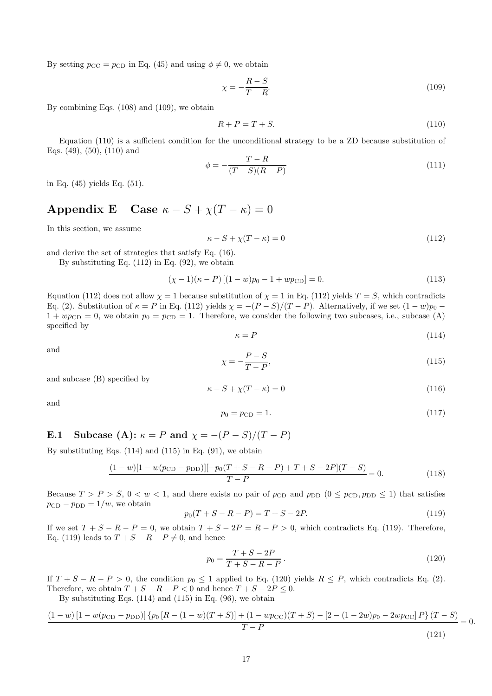By setting  $p_{CC} = p_{CD}$  in Eq. (45) and using  $\phi \neq 0$ , we obtain

$$
\chi = -\frac{R - S}{T - R}.\tag{109}
$$

By combining Eqs. (108) and (109), we obtain

$$
R + P = T + S.\tag{110}
$$

Equation (110) is a sufficient condition for the unconditional strategy to be a ZD because substitution of Eqs. (49), (50), (110) and

$$
\phi = -\frac{T - R}{(T - S)(R - P)}\tag{111}
$$

in Eq. (45) yields Eq. (51).

# Appendix E Case  $\kappa - S + \chi (T - \kappa) = 0$

In this section, we assume

$$
\kappa - S + \chi(T - \kappa) = 0 \tag{112}
$$

and derive the set of strategies that satisfy Eq. (16).

By substituting Eq.  $(112)$  in Eq.  $(92)$ , we obtain

$$
(\chi - 1)(\kappa - P) [(1 - w)p_0 - 1 + wp_{CD}] = 0.
$$
\n(113)

Equation (112) does not allow  $\chi = 1$  because substitution of  $\chi = 1$  in Eq. (112) yields  $T = S$ , which contradicts Eq. (2). Substitution of  $\kappa = P$  in Eq. (112) yields  $\chi = -(P - S)/(T - P)$ . Alternatively, if we set  $(1 - w)p_0$  –  $1 + wp_{CD} = 0$ , we obtain  $p_0 = p_{CD} = 1$ . Therefore, we consider the following two subcases, i.e., subcase (A) specified by

$$
\kappa = P \tag{114}
$$

and

$$
\chi = -\frac{P - S}{T - P},\tag{115}
$$

and subcase (B) specified by

$$
\kappa - S + \chi(T - \kappa) = 0 \tag{116}
$$

and

$$
p_0 = p_{CD} = 1.
$$
\n(117)

# E.1 Subcase (A):  $\kappa = P$  and  $\chi = -(P - S)/(T - P)$

By substituting Eqs.  $(114)$  and  $(115)$  in Eq.  $(91)$ , we obtain

$$
\frac{(1-w)[1-w(p_{\text{CD}}-p_{\text{DD}})][-p_0(T+S-R-P)+T+S-2P](T-S)}{T-P} = 0.
$$
\n(118)

Because  $T > P > S$ ,  $0 < w < 1$ , and there exists no pair of  $p_{CD}$  and  $p_{DD}$   $(0 \leq p_{CD}, p_{DD} \leq 1)$  that satisfies  $p_{\text{CD}} - p_{\text{DD}} = 1/w$ , we obtain

$$
p_0(T + S - R - P) = T + S - 2P.
$$
\n(119)

If we set  $T + S - R - P = 0$ , we obtain  $T + S - 2P = R - P > 0$ , which contradicts Eq. (119). Therefore, Eq. (119) leads to  $T + S - R - P \neq 0$ , and hence

$$
p_0 = \frac{T + S - 2P}{T + S - R - P}.
$$
\n(120)

If  $T + S - R - P > 0$ , the condition  $p_0 \le 1$  applied to Eq. (120) yields  $R \le P$ , which contradicts Eq. (2). Therefore, we obtain  $T + S - R - P < 0$  and hence  $T + S - 2P \leq 0$ .

By substituting Eqs.  $(114)$  and  $(115)$  in Eq.  $(96)$ , we obtain

$$
\frac{(1-w)[1-w(p_{CD}-p_{DD})]\{p_0[R-(1-w)(T+S)]+(1-wp_{CC})(T+S)-[2-(1-2w)p_0-2wp_{CC}]P\}(T-S)}{T-P}
$$
\n(121)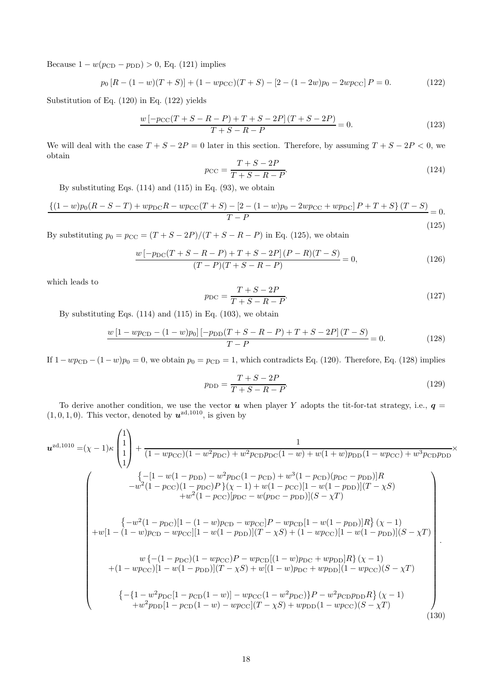Because  $1 - w(p_{CD} - p_{DD}) > 0$ , Eq. (121) implies

$$
p_0 [R - (1 - w)(T + S)] + (1 - w p_{CC})(T + S) - [2 - (1 - 2w)p_0 - 2w p_{CC}] P = 0.
$$
 (122)

Substitution of Eq. (120) in Eq. (122) yields

$$
\frac{w\left[-p_{\text{CC}}(T+S-R-P)+T+S-2P\right](T+S-2P)}{T+S-R-P} = 0. \tag{123}
$$

We will deal with the case  $T + S - 2P = 0$  later in this section. Therefore, by assuming  $T + S - 2P < 0$ , we obtain

$$
p_{\rm CC} = \frac{T + S - 2P}{T + S - R - P}.\tag{124}
$$

By substituting Eqs.  $(114)$  and  $(115)$  in Eq.  $(93)$ , we obtain

$$
\frac{\{(1-w)p_0(R-S-T)+wp_{DC}R-wp_{CC}(T+S)-[2-(1-w)p_0-2wp_{CC}+wp_{DC}]}{T-P}=0. \tag{125}
$$

By substituting  $p_0 = p_{CC} = (T + S - 2P)/(T + S - R - P)$  in Eq. (125), we obtain

$$
\frac{w\left[-p_{\rm DC}(T+S-R-P)+T+S-2P\right](P-R)(T-S)}{(T-P)(T+S-R-P)} = 0,
$$
\n(126)

which leads to

$$
p_{\rm DC} = \frac{T + S - 2P}{T + S - R - P}.\tag{127}
$$

By substituting Eqs.  $(114)$  and  $(115)$  in Eq.  $(103)$ , we obtain

$$
\frac{w\left[1 - wp_{CD} - (1 - w)p_0\right]\left[-p_{DD}(T + S - R - P) + T + S - 2P\right](T - S)}{T - P} = 0.
$$
\n(128)

If  $1-wp_{CD} - (1-w)p_0 = 0$ , we obtain  $p_0 = p_{CD} = 1$ , which contradicts Eq. (120). Therefore, Eq. (128) implies

$$
p_{\rm DD} = \frac{T + S - 2P}{T + S - R - P}.\tag{129}
$$

To derive another condition, we use the vector  $u$  when player Y adopts the tit-for-tat strategy, i.e.,  $q =$  $(1, 0, 1, 0)$ . This vector, denoted by  $u^{zd,1010}$ , is given by

$$
u^{zd,1010} = (\chi - 1)\kappa \begin{pmatrix} 1 \\ 1 \\ 1 \end{pmatrix} + \frac{1}{(1 - wp_{CC})(1 - w^2p_{DC}) + w^2p_{CD}p_{DC}(1 - w) + w(1 + w)p_{DD}(1 - wp_{CC}) + w^3p_{CD}p_{DD}} \times \frac{\{-[1 - w(1 - p_{DD}) - w^2p_{DC}(1 - p_{CD}) + w^3(1 - p_{CD})(p_{DC} - p_{DD})]R}{+w^2(1 - p_{CC})(1 - p_{DC})P\}(\chi - 1) + w(1 - p_{CC})[1 - w(1 - p_{DD})](T - \chi S) + w^2(1 - p_{CC})[p_{DC} - w(p_{DC} - p_{DD})](S - \chi T) \times \frac{\{-w^2(1 - p_{DC})[1 - (1 - w)p_{CD} - wp_{CC}]P - wp_{CD}[1 - w(1 - p_{DD})]R\}(\chi - 1)}{+w[1 - (1 - w)p_{CD} - wp_{CC}][1 - w(1 - p_{DD})](T - \chi S) + (1 - wp_{CC})[1 - w(1 - p_{DD})](S - \chi T) + (1 - wp_{CC})[1 - w(1 - p_{DD})](T - \chi S) + w[(1 - w)p_{DC} + wp_{DD}]R\}(\chi - 1) + (1 - wp_{CC})[1 - w(1 - p_{DD})](T - \chi S) + w[(1 - w)p_{DC} + wp_{DD}](1 - wp_{CC})(S - \chi T) + \frac{\{-\{1 - w^2p_{DC}[1 - p_{CD}(1 - w)]\} - wp_{CC}(1 - w^2p_{DC})\}P - w^2p_{CD}p_{DD}R\}(\chi - 1)}{+w^2p_{DD}[1 - p_{CD}(1 - w) - wp_{CC}](T - \chi S) + wp_{DD}(1 - wp_{CC})(S - \chi T)} \times \frac{\{130\}}{100}
$$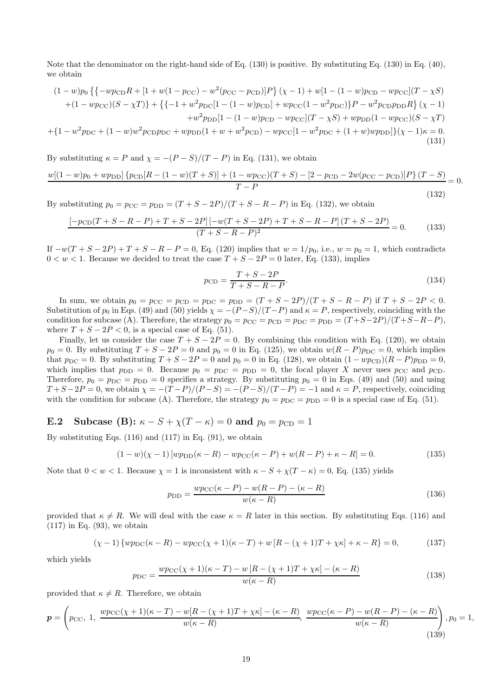Note that the denominator on the right-hand side of Eq. (130) is positive. By substituting Eq. (130) in Eq. (40), we obtain

$$
(1 - w)p_0 \left\{ \left\{ -wp_{CD}R + [1 + w(1 - p_{CC}) - w^2(p_{CC} - p_{CD})]P \right\} (\chi - 1) + w[1 - (1 - w)p_{CD} - wp_{CC}] (T - \chi S) \right\}
$$
  
+ 
$$
(1 - wp_{CC})(S - \chi T) \right\} + \left\{ \left\{ -1 + w^2 p_{DC} [1 - (1 - w)p_{CD}] + wp_{CC} (1 - w^2 p_{DC}) \right\} P - w^2 p_{CD} p_{DD} R \right\} (\chi - 1) \right\}
$$
  
+ 
$$
w^2 p_{DD} [1 - (1 - w)p_{CD} - wp_{CC}] (T - \chi S) + wp_{DD} (1 - wp_{CC}) (S - \chi T)
$$
  
+ 
$$
\left\{ 1 - w^2 p_{DC} + (1 - w) w^2 p_{CD} p_{DC} + wp_{DD} (1 + w + w^2 p_{CD}) - wp_{CC} [1 - w^2 p_{DC} + (1 + w) wp_{DD}] \right\} (\chi - 1) \kappa = 0. \tag{131}
$$

By substituting  $\kappa = P$  and  $\chi = -(P - S)/(T - P)$  in Eq. (131), we obtain

$$
\frac{w[(1-w)p_0 + w p_{\text{DD}}] \{p_{\text{CD}}[R - (1-w)(T+S)] + (1-w p_{\text{CC}})(T+S) - [2-p_{\text{CD}} - 2w(p_{\text{CC}} - p_{\text{CD}})]P\} (T-S)}{T-P}
$$
(132)

By substituting  $p_0 = p_{CC} = p_{DD} = (T + S - 2P)/(T + S - R - P)$  in Eq. (132), we obtain

$$
\frac{[-p_{\text{CD}}(T+S-R-P)+T+S-2P]-[w(T+S-2P)+T+S-R-P](T+S-2P)}{(T+S-R-P)^2} = 0.
$$
 (133)

If  $-w(T+S-2P) + T + S - R - P = 0$ , Eq. (120) implies that  $w = 1/p_0$ , i.e.,  $w = p_0 = 1$ , which contradicts  $0 \leq w \leq 1$ . Because we decided to treat the case  $T + S - 2P = 0$  later, Eq. (133), implies

$$
p_{\rm CD} = \frac{T + S - 2P}{T + S - R - P}.\tag{134}
$$

In sum, we obtain  $p_0 = p_{CC} = p_{CD} = p_{DC} = p_{DD} = (T + S - 2P)/(T + S - R - P)$  if  $T + S - 2P < 0$ . Substitution of  $p_0$  in Eqs. (49) and (50) yields  $\chi = -(P-S)/(T-P)$  and  $\kappa = P$ , respectively, coinciding with the condition for subcase (A). Therefore, the strategy  $p_0 = p_{CC} = p_{CD} = p_{DC} = p_{DD} = (T + S - 2P)/(T + S - R - P)$ , where  $T + S - 2P < 0$ , is a special case of Eq. (51).

Finally, let us consider the case  $T + S - 2P = 0$ . By combining this condition with Eq. (120), we obtain  $p_0 = 0$ . By substituting  $T + S - 2P = 0$  and  $p_0 = 0$  in Eq. (125), we obtain  $w(R - P)p_{\text{DC}} = 0$ , which implies that  $p_{\text{DC}} = 0$ . By substituting  $T + S - 2P = 0$  and  $p_0 = 0$  in Eq. (128), we obtain  $(1 - wp_{\text{CD}})(R - P)p_{\text{DD}} = 0$ , which implies that  $p_{DD} = 0$ . Because  $p_0 = p_{DC} = p_{DD} = 0$ , the focal player X never uses  $p_{CC}$  and  $p_{CD}$ . Therefore,  $p_0 = p_{\text{DC}} = p_{\text{DD}} = 0$  specifies a strategy. By substituting  $p_0 = 0$  in Eqs. (49) and (50) and using  $T + S - 2P = 0$ , we obtain  $\chi = -(T - P)/(P - S) = -(P - S)/(T - P) = -1$  and  $\kappa = P$ , respectively, coinciding with the condition for subcase (A). Therefore, the strategy  $p_0 = p_{\text{DC}} = p_{\text{DD}} = 0$  is a special case of Eq. (51).

**E.2** Subcase (B): 
$$
\kappa - S + \chi(T - \kappa) = 0
$$
 and  $p_0 = p_{CD} = 1$ 

By substituting Eqs.  $(116)$  and  $(117)$  in Eq.  $(91)$ , we obtain

$$
(1 - w)(\chi - 1) [wp_{\text{DD}}(\kappa - R) - wp_{\text{CC}}(\kappa - P) + w(R - P) + \kappa - R] = 0.
$$
 (135)

Note that  $0 < w < 1$ . Because  $\chi = 1$  is inconsistent with  $\kappa - S + \chi(T - \kappa) = 0$ , Eq. (135) yields

$$
p_{\rm DD} = \frac{wp_{\rm CC}(\kappa - P) - w(R - P) - (\kappa - R)}{w(\kappa - R)}
$$
\n(136)

provided that  $\kappa \neq R$ . We will deal with the case  $\kappa = R$  later in this section. By substituting Eqs. (116) and  $(117)$  in Eq.  $(93)$ , we obtain

$$
(\chi - 1) \{wp_{\rm DC}(\kappa - R) - wp_{\rm CC}(\chi + 1)(\kappa - T) + w[R - (\chi + 1)T + \chi \kappa] + \kappa - R\} = 0,\tag{137}
$$

which yields

$$
p_{\rm DC} = \frac{w p_{\rm CC}(\chi + 1)(\kappa - T) - w [R - (\chi + 1)T + \chi \kappa] - (\kappa - R)}{w(\kappa - R)}
$$
(138)

provided that  $\kappa \neq R$ . Therefore, we obtain

$$
\mathbf{p} = \left(p_{\text{CC}}, 1, \frac{w p_{\text{CC}}(\chi+1)(\kappa-T) - w[R-(\chi+1)T+\chi\kappa] - (\kappa-R)}{w(\kappa-R)}, \frac{w p_{\text{CC}}(\kappa-P) - w(R-P) - (\kappa-R)}{w(\kappa-R)}\right), p_0 = 1,
$$
\n(139)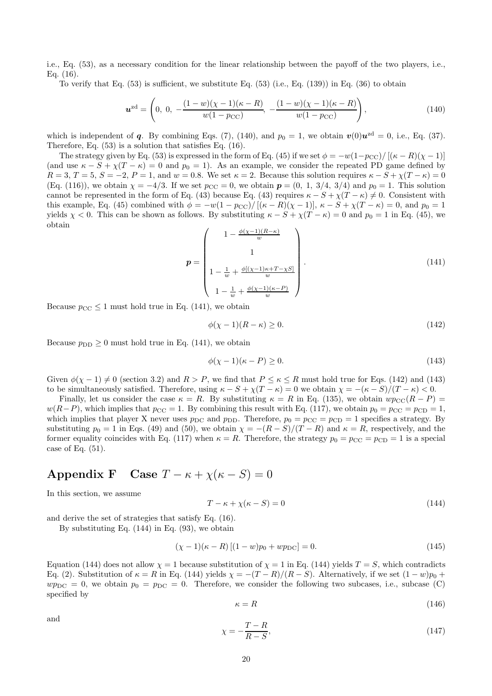i.e., Eq. (53), as a necessary condition for the linear relationship between the payoff of the two players, i.e., Eq. (16).

To verify that Eq.  $(53)$  is sufficient, we substitute Eq.  $(53)$  (i.e., Eq.  $(139)$ ) in Eq.  $(36)$  to obtain

$$
\boldsymbol{u}^{\text{zd}} = \left(0, \ 0, \ -\frac{(1-w)(\chi - 1)(\kappa - R)}{w(1 - p_{\text{CC}})}, \ -\frac{(1-w)(\chi - 1)(\kappa - R)}{w(1 - p_{\text{CC}})}\right),\tag{140}
$$

which is independent of q. By combining Eqs. (7), (140), and  $p_0 = 1$ , we obtain  $\mathbf{v}(0)\mathbf{u}^{\text{zd}} = 0$ , i.e., Eq. (37). Therefore, Eq. (53) is a solution that satisfies Eq. (16).

The strategy given by Eq. (53) is expressed in the form of Eq. (45) if we set  $\phi = -w(1-p_{CC})/[(\kappa - R)(\chi - 1)]$ (and use  $\kappa - S + \chi(T - \kappa) = 0$  and  $p_0 = 1$ ). As an example, we consider the repeated PD game defined by  $R = 3, T = 5, S = -2, P = 1, \text{ and } w = 0.8.$  We set  $\kappa = 2$ . Because this solution requires  $\kappa - S + \chi(T - \kappa) = 0$ (Eq. (116)), we obtain  $\chi = -4/3$ . If we set  $p_{CC} = 0$ , we obtain  $p = (0, 1, 3/4, 3/4)$  and  $p_0 = 1$ . This solution cannot be represented in the form of Eq. (43) because Eq. (43) requires  $\kappa - S + \chi(T - \kappa) \neq 0$ . Consistent with this example, Eq. (45) combined with  $\phi = -w(1 - p_{CC})/[(\kappa - R)(\chi - 1)], \kappa - S + \chi(T - \kappa) = 0$ , and  $p_0 = 1$ yields  $\chi$  < 0. This can be shown as follows. By substituting  $\kappa - S + \chi(T - \kappa) = 0$  and  $p_0 = 1$  in Eq. (45), we obtain

$$
p = \begin{pmatrix} 1 - \frac{\phi(\chi - 1)(R - \kappa)}{w} \\ 1 \\ 1 - \frac{1}{w} + \frac{\phi[(\chi - 1)\kappa + T - \chi S]}{w} \\ 1 - \frac{1}{w} + \frac{\phi(\chi - 1)(\kappa - P)}{w} \end{pmatrix}.
$$
(141)

Because  $p_{\text{CC}} \leq 1$  must hold true in Eq. (141), we obtain

$$
\phi(\chi - 1)(R - \kappa) \ge 0. \tag{142}
$$

Because  $p_{\text{DD}} \geq 0$  must hold true in Eq. (141), we obtain

$$
\phi(\chi - 1)(\kappa - P) \ge 0. \tag{143}
$$

Given  $\phi(\chi - 1) \neq 0$  (section 3.2) and  $R > P$ , we find that  $P \leq \kappa \leq R$  must hold true for Eqs. (142) and (143) to be simultaneously satisfied. Therefore, using  $\kappa - S + \chi(T - \kappa) = 0$  we obtain  $\chi = -(\kappa - S)/(T - \kappa) < 0$ .

Finally, let us consider the case  $\kappa = R$ . By substituting  $\kappa = R$  in Eq. (135), we obtain  $wp_{\text{CC}}(R - P)$  $w(R-P)$ , which implies that  $p_{CC} = 1$ . By combining this result with Eq. (117), we obtain  $p_0 = p_{CC} = p_{CD} = 1$ , which implies that player X never uses  $p_{\text{DC}}$  and  $p_{\text{DD}}$ . Therefore,  $p_0 = p_{\text{CC}} = p_{\text{CD}} = 1$  specifies a strategy. By substituting  $p_0 = 1$  in Eqs. (49) and (50), we obtain  $\chi = -(R - S)/(T - R)$  and  $\kappa = R$ , respectively, and the former equality coincides with Eq. (117) when  $\kappa = R$ . Therefore, the strategy  $p_0 = p_{CC} = p_{CD} = 1$  is a special case of Eq.  $(51)$ .

# Appendix F Case  $T - \kappa + \chi(\kappa - S) = 0$

In this section, we assume

$$
T - \kappa + \chi(\kappa - S) = 0\tag{144}
$$

and derive the set of strategies that satisfy Eq. (16).

By substituting Eq. (144) in Eq. (93), we obtain

$$
(\chi - 1)(\kappa - R)[(1 - w)p_0 + wp_{DC}] = 0.
$$
\n(145)

Equation (144) does not allow  $\chi = 1$  because substitution of  $\chi = 1$  in Eq. (144) yields  $T = S$ , which contradicts Eq. (2). Substitution of  $\kappa = R$  in Eq. (144) yields  $\chi = -(T - R)/(R - S)$ . Alternatively, if we set  $(1 - w)p_0 +$  $wp_{\rm DC} = 0$ , we obtain  $p_0 = p_{\rm DC} = 0$ . Therefore, we consider the following two subcases, i.e., subcase (C) specified by

$$
\kappa = R \tag{146}
$$

and

$$
\chi = -\frac{T - R}{R - S},\tag{147}
$$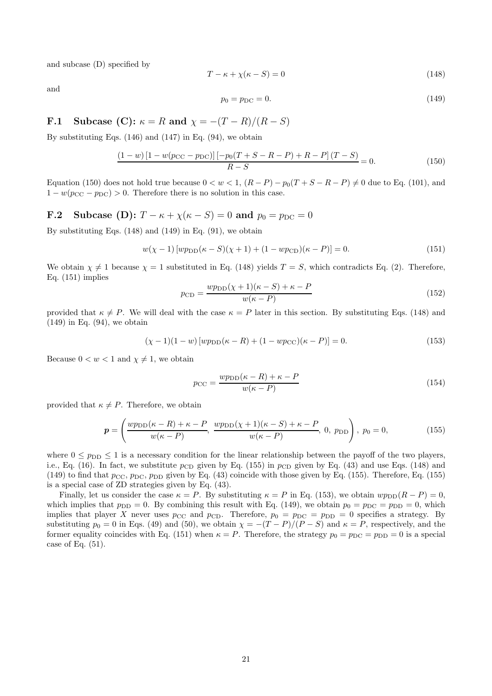and subcase (D) specified by

$$
T - \kappa + \chi(\kappa - S) = 0\tag{148}
$$

and

$$
p_0 = p_{\rm DC} = 0.\tag{149}
$$

**F.1 Subcase (C):** 
$$
\kappa = R
$$
 **and**  $\chi = -(T - R)/(R - S)$ 

By substituting Eqs.  $(146)$  and  $(147)$  in Eq.  $(94)$ , we obtain

$$
\frac{(1-w)[1-w(p_{\rm CC}-p_{\rm DC})] [-p_0(T+S-R-P)+R-P] (T-S)}{R-S} = 0.
$$
\n(150)

Equation (150) does not hold true because  $0 < w < 1$ ,  $(R - P) - p_0(T + S - R - P) \neq 0$  due to Eq. (101), and  $1 - w(p_{\text{CC}} - p_{\text{DC}}) > 0$ . Therefore there is no solution in this case.

# **F.2** Subcase (D):  $T - \kappa + \chi(\kappa - S) = 0$  and  $p_0 = p_{\text{DC}} = 0$

By substituting Eqs.  $(148)$  and  $(149)$  in Eq.  $(91)$ , we obtain

$$
w(\chi - 1) [wp_{\rm DD}(\kappa - S)(\chi + 1) + (1 - wp_{\rm CD})(\kappa - P)] = 0.
$$
 (151)

We obtain  $\chi \neq 1$  because  $\chi = 1$  substituted in Eq. (148) yields  $T = S$ , which contradicts Eq. (2). Therefore, Eq. (151) implies

$$
p_{\rm CD} = \frac{wp_{\rm DD}(\chi + 1)(\kappa - S) + \kappa - P}{w(\kappa - P)}
$$
(152)

provided that  $\kappa \neq P$ . We will deal with the case  $\kappa = P$  later in this section. By substituting Eqs. (148) and  $(149)$  in Eq.  $(94)$ , we obtain

$$
(\chi - 1)(1 - w) [wp_{\text{DD}}(\kappa - R) + (1 - wp_{\text{CC}})(\kappa - P)] = 0.
$$
 (153)

Because  $0 < w < 1$  and  $\chi \neq 1$ , we obtain

$$
p_{\rm CC} = \frac{wp_{\rm DD}(\kappa - R) + \kappa - P}{w(\kappa - P)}\tag{154}
$$

provided that  $\kappa \neq P$ . Therefore, we obtain

$$
\boldsymbol{p} = \left(\frac{wp_{\text{DD}}(\kappa - R) + \kappa - P}{w(\kappa - P)}, \frac{wp_{\text{DD}}(\chi + 1)(\kappa - S) + \kappa - P}{w(\kappa - P)}, 0, p_{\text{DD}}\right), p_0 = 0,\tag{155}
$$

where  $0 \le p_{\text{DD}} \le 1$  is a necessary condition for the linear relationship between the payoff of the two players, i.e., Eq. (16). In fact, we substitute  $p_{CD}$  given by Eq. (155) in  $p_{CD}$  given by Eq. (43) and use Eqs. (148) and (149) to find that  $p_{\rm CC}$ ,  $p_{\rm DC}$ ,  $p_{\rm DD}$  given by Eq. (43) coincide with those given by Eq. (155). Therefore, Eq. (155) is a special case of ZD strategies given by Eq. (43).

Finally, let us consider the case  $\kappa = P$ . By substituting  $\kappa = P$  in Eq. (153), we obtain  $wp_{\text{DD}}(R - P) = 0$ , which implies that  $p_{\text{DD}} = 0$ . By combining this result with Eq. (149), we obtain  $p_0 = p_{\text{DC}} = p_{\text{DD}} = 0$ , which implies that player X never uses  $p_{\text{CC}}$  and  $p_{\text{CD}}$ . Therefore,  $p_0 = p_{\text{DC}} = p_{\text{DD}} = 0$  specifies a strategy. By substituting  $p_0 = 0$  in Eqs. (49) and (50), we obtain  $\chi = -(T - P)/(P - S)$  and  $\kappa = P$ , respectively, and the former equality coincides with Eq. (151) when  $\kappa = P$ . Therefore, the strategy  $p_0 = p_{\text{DC}} = p_{\text{DD}} = 0$  is a special case of Eq.  $(51)$ .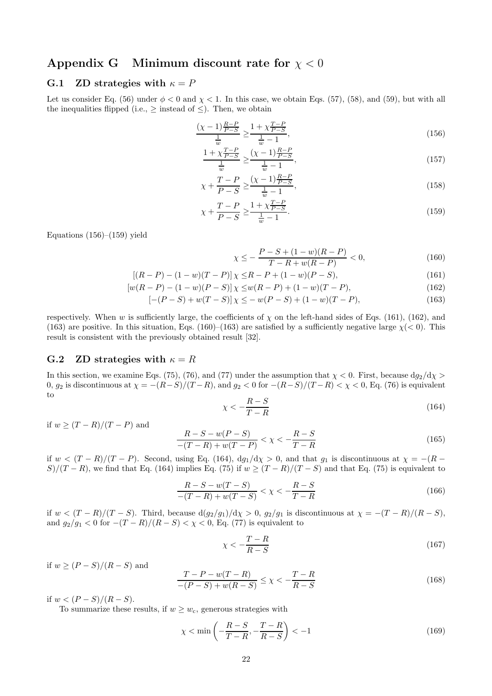## Appendix G Minimum discount rate for  $\chi < 0$

## G.1 ZD strategies with  $\kappa = P$

Let us consider Eq. (56) under  $\phi < 0$  and  $\chi < 1$ . In this case, we obtain Eqs. (57), (58), and (59), but with all the inequalities flipped (i.e.,  $\geq$  instead of  $\leq$ ). Then, we obtain

$$
\frac{(\chi - 1) \frac{R - P}{P - S}}{\frac{1}{w}} \ge \frac{1 + \chi \frac{T - P}{P - S}}{\frac{1}{w} - 1},\tag{156}
$$

$$
\frac{1 + \chi \frac{T - P}{P - S}}{\frac{1}{w}} \ge \frac{(\chi - 1) \frac{R - P}{P - S}}{\frac{1}{w} - 1},\tag{157}
$$

$$
\chi + \frac{T - P}{P - S} \ge \frac{(\chi - 1)\frac{R - P}{P - S}}{\frac{1}{w} - 1},\tag{158}
$$

$$
\chi + \frac{T - P}{P - S} \ge \frac{1 + \chi \frac{T - P}{P - S}}{\frac{1}{w} - 1}.
$$
\n(159)

Equations  $(156)$ – $(159)$  yield

$$
\leq -\frac{P - S + (1 - w)(R - P)}{T - R + w(R - P)} < 0,\tag{160}
$$

$$
[(R-P) - (1-w)(T-P)] \chi \le R - P + (1-w)(P-S),\tag{161}
$$

$$
[w(R - P) - (1 - w)(P - S)] \chi \leq w(R - P) + (1 - w)(T - P), \tag{162}
$$

$$
[-(P - S) + w(T - S)] \chi \le -w(P - S) + (1 - w)(T - P), \tag{163}
$$

respectively. When w is sufficiently large, the coefficients of  $\chi$  on the left-hand sides of Eqs. (161), (162), and (163) are positive. In this situation, Eqs. (160)–(163) are satisfied by a sufficiently negative large  $\chi$ (< 0). This result is consistent with the previously obtained result [32].

 $\chi$ 

#### G.2 ZD strategies with  $\kappa = R$

In this section, we examine Eqs. (75), (76), and (77) under the assumption that  $\chi < 0$ . First, because  $d\frac{q_2}{d\chi} >$ 0,  $g_2$  is discontinuous at  $\chi = -(R-S)/(T-R)$ , and  $g_2 < 0$  for  $-(R-S)/(T-R) < \chi < 0$ , Eq. (76) is equivalent to

$$
\chi < -\frac{R-S}{T-R} \tag{164}
$$

if  $w \geq (T - R)/(T - P)$  and

$$
\frac{R-S-w(P-S)}{-(T-R)+w(T-P)} < \chi < -\frac{R-S}{T-R} \tag{165}
$$

if  $w < (T - R)/(T - P)$ . Second, using Eq. (164),  $dg_1/d\chi > 0$ , and that  $g_1$  is discontinuous at  $\chi = -(R - P)$ S)/(T – R), we find that Eq. (164) implies Eq. (75) if  $w \ge (T - R)/(T - S)$  and that Eq. (75) is equivalent to

$$
\frac{R-S-w(T-S)}{-(T-R)+w(T-S)} < \chi < -\frac{R-S}{T-R} \tag{166}
$$

if  $w < (T - R)/(T - S)$ . Third, because  $d(g_2/g_1)/d\chi > 0$ ,  $g_2/g_1$  is discontinuous at  $\chi = -(T - R)/(R - S)$ , and  $g_2/g_1 < 0$  for  $-(T - R)/(R - S) < \chi < 0$ , Eq. (77) is equivalent to

$$
\chi < -\frac{T - R}{R - S} \tag{167}
$$

if  $w > (P - S)/(R - S)$  and

$$
\frac{T - P - w(T - R)}{-(P - S) + w(R - S)} \le \chi < -\frac{T - R}{R - S} \tag{168}
$$

if  $w < (P - S)/(R - S)$ .

To summarize these results, if  $w \geq w_c$ , generous strategies with

$$
\chi < \min\left(-\frac{R-S}{T-R}, -\frac{T-R}{R-S}\right) < -1\tag{169}
$$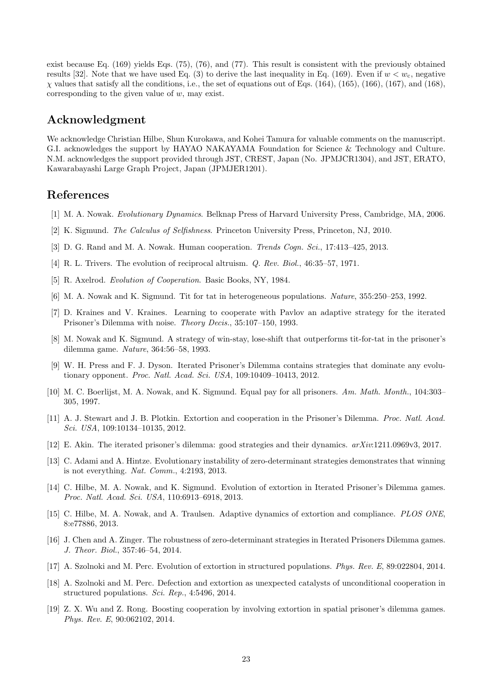exist because Eq. (169) yields Eqs. (75), (76), and (77). This result is consistent with the previously obtained results [32]. Note that we have used Eq. (3) to derive the last inequality in Eq. (169). Even if  $w < w_c$ , negative  $\chi$  values that satisfy all the conditions, i.e., the set of equations out of Eqs. (164), (165), (166), (167), and (168), corresponding to the given value of w, may exist.

## Acknowledgment

We acknowledge Christian Hilbe, Shun Kurokawa, and Kohei Tamura for valuable comments on the manuscript. G.I. acknowledges the support by HAYAO NAKAYAMA Foundation for Science & Technology and Culture. N.M. acknowledges the support provided through JST, CREST, Japan (No. JPMJCR1304), and JST, ERATO, Kawarabayashi Large Graph Project, Japan (JPMJER1201).

## References

- [1] M. A. Nowak. Evolutionary Dynamics. Belknap Press of Harvard University Press, Cambridge, MA, 2006.
- [2] K. Sigmund. The Calculus of Selfishness. Princeton University Press, Princeton, NJ, 2010.
- [3] D. G. Rand and M. A. Nowak. Human cooperation. Trends Cogn. Sci., 17:413–425, 2013.
- [4] R. L. Trivers. The evolution of reciprocal altruism. Q. Rev. Biol., 46:35–57, 1971.
- [5] R. Axelrod. Evolution of Cooperation. Basic Books, NY, 1984.
- [6] M. A. Nowak and K. Sigmund. Tit for tat in heterogeneous populations. Nature, 355:250–253, 1992.
- [7] D. Kraines and V. Kraines. Learning to cooperate with Pavlov an adaptive strategy for the iterated Prisoner's Dilemma with noise. Theory Decis., 35:107–150, 1993.
- [8] M. Nowak and K. Sigmund. A strategy of win-stay, lose-shift that outperforms tit-for-tat in the prisoner's dilemma game. Nature, 364:56–58, 1993.
- [9] W. H. Press and F. J. Dyson. Iterated Prisoner's Dilemma contains strategies that dominate any evolutionary opponent. Proc. Natl. Acad. Sci. USA, 109:10409–10413, 2012.
- [10] M. C. Boerlijst, M. A. Nowak, and K. Sigmund. Equal pay for all prisoners. Am. Math. Month., 104:303– 305, 1997.
- [11] A. J. Stewart and J. B. Plotkin. Extortion and cooperation in the Prisoner's Dilemma. Proc. Natl. Acad. Sci. USA, 109:10134–10135, 2012.
- [12] E. Akin. The iterated prisoner's dilemma: good strategies and their dynamics. arXiv:1211.0969v3, 2017.
- [13] C. Adami and A. Hintze. Evolutionary instability of zero-determinant strategies demonstrates that winning is not everything. Nat. Comm., 4:2193, 2013.
- [14] C. Hilbe, M. A. Nowak, and K. Sigmund. Evolution of extortion in Iterated Prisoner's Dilemma games. Proc. Natl. Acad. Sci. USA, 110:6913–6918, 2013.
- [15] C. Hilbe, M. A. Nowak, and A. Traulsen. Adaptive dynamics of extortion and compliance. PLOS ONE, 8:e77886, 2013.
- [16] J. Chen and A. Zinger. The robustness of zero-determinant strategies in Iterated Prisoners Dilemma games. J. Theor. Biol., 357:46–54, 2014.
- [17] A. Szolnoki and M. Perc. Evolution of extortion in structured populations. Phys. Rev. E, 89:022804, 2014.
- [18] A. Szolnoki and M. Perc. Defection and extortion as unexpected catalysts of unconditional cooperation in structured populations. Sci. Rep., 4:5496, 2014.
- [19] Z. X. Wu and Z. Rong. Boosting cooperation by involving extortion in spatial prisoner's dilemma games. Phys. Rev. E, 90:062102, 2014.